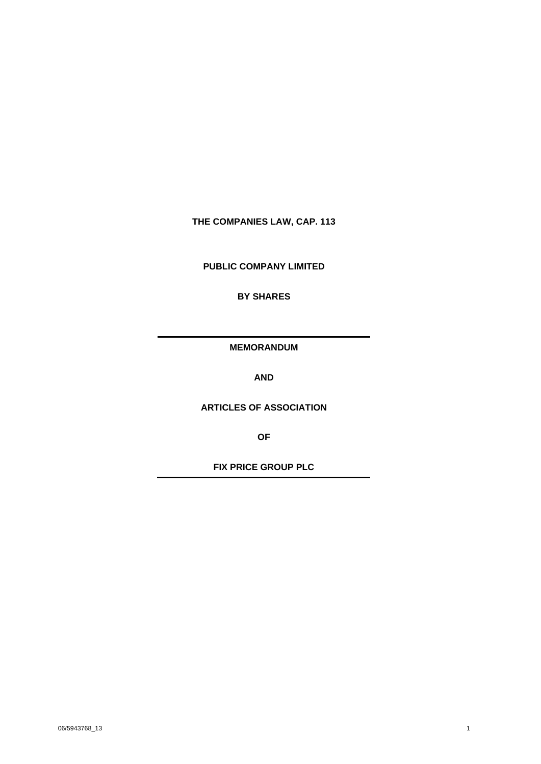## **THE COMPANIES LAW, CAP. 113**

**PUBLIC COMPANY LIMITED**

**BY SHARES**

**MEMORANDUM**

**AND**

**ARTICLES OF ASSOCIATION**

**OF**

**FIX PRICE GROUP PLC**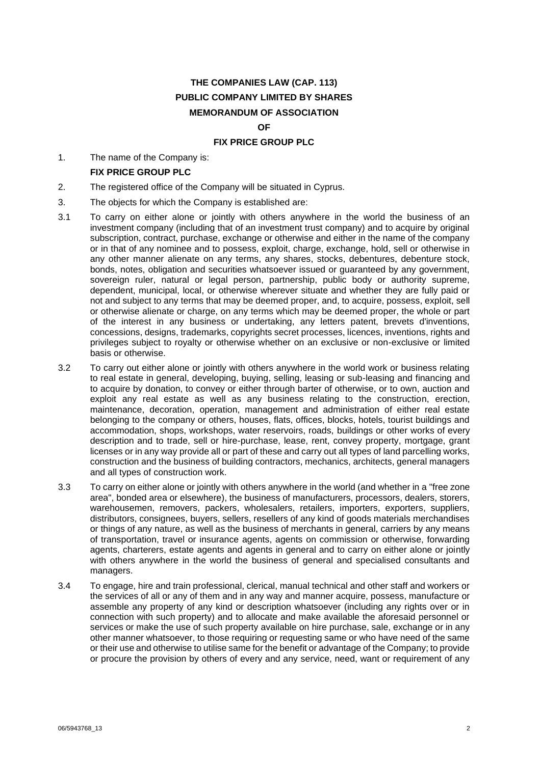# **THE COMPANIES LAW (CAP. 113) PUBLIC COMPANY LIMITED BY SHARES MEMORANDUM OF ASSOCIATION**

#### **OF**

#### **FIX PRICE GROUP PLC**

1. The name of the Company is:

#### **FIX PRICE GROUP PLC**

- 2. The registered office of the Company will be situated in Cyprus.
- 3. The objects for which the Company is established are:
- 3.1 To carry on either alone or jointly with others anywhere in the world the business of an investment company (including that of an investment trust company) and to acquire by original subscription, contract, purchase, exchange or otherwise and either in the name of the company or in that of any nominee and to possess, exploit, charge, exchange, hold, sell or otherwise in any other manner alienate on any terms, any shares, stocks, debentures, debenture stock, bonds, notes, obligation and securities whatsoever issued or guaranteed by any government, sovereign ruler, natural or legal person, partnership, public body or authority supreme, dependent, municipal, local, or otherwise wherever situate and whether they are fully paid or not and subject to any terms that may be deemed proper, and, to acquire, possess, exploit, sell or otherwise alienate or charge, on any terms which may be deemed proper, the whole or part of the interest in any business or undertaking, any letters patent, brevets d'inventions, concessions, designs, trademarks, copyrights secret processes, licences, inventions, rights and privileges subject to royalty or otherwise whether on an exclusive or non-exclusive or limited basis or otherwise.
- 3.2 To carry out either alone or jointly with others anywhere in the world work or business relating to real estate in general, developing, buying, selling, leasing or sub-leasing and financing and to acquire by donation, to convey or either through barter of otherwise, or to own, auction and exploit any real estate as well as any business relating to the construction, erection, maintenance, decoration, operation, management and administration of either real estate belonging to the company or others, houses, flats, offices, blocks, hotels, tourist buildings and accommodation, shops, workshops, water reservoirs, roads, buildings or other works of every description and to trade, sell or hire-purchase, lease, rent, convey property, mortgage, grant licenses or in any way provide all or part of these and carry out all types of land parcelling works, construction and the business of building contractors, mechanics, architects, general managers and all types of construction work.
- 3.3 To carry on either alone or jointly with others anywhere in the world (and whether in a "free zone area", bonded area or elsewhere), the business of manufacturers, processors, dealers, storers, warehousemen, removers, packers, wholesalers, retailers, importers, exporters, suppliers, distributors, consignees, buyers, sellers, resellers of any kind of goods materials merchandises or things of any nature, as well as the business of merchants in general, carriers by any means of transportation, travel or insurance agents, agents on commission or otherwise, forwarding agents, charterers, estate agents and agents in general and to carry on either alone or jointly with others anywhere in the world the business of general and specialised consultants and managers.
- 3.4 To engage, hire and train professional, clerical, manual technical and other staff and workers or the services of all or any of them and in any way and manner acquire, possess, manufacture or assemble any property of any kind or description whatsoever (including any rights over or in connection with such property) and to allocate and make available the aforesaid personnel or services or make the use of such property available on hire purchase, sale, exchange or in any other manner whatsoever, to those requiring or requesting same or who have need of the same or their use and otherwise to utilise same for the benefit or advantage of the Company; to provide or procure the provision by others of every and any service, need, want or requirement of any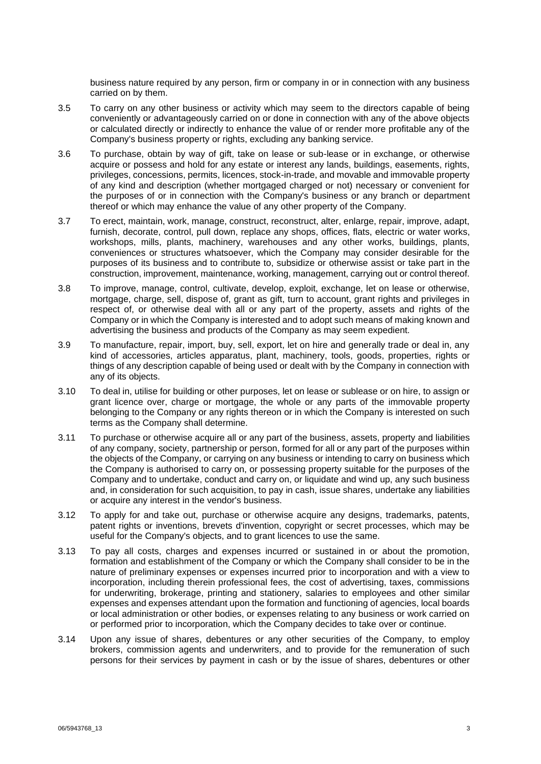business nature required by any person, firm or company in or in connection with any business carried on by them.

- 3.5 To carry on any other business or activity which may seem to the directors capable of being conveniently or advantageously carried on or done in connection with any of the above objects or calculated directly or indirectly to enhance the value of or render more profitable any of the Company's business property or rights, excluding any banking service.
- 3.6 To purchase, obtain by way of gift, take on lease or sub-lease or in exchange, or otherwise acquire or possess and hold for any estate or interest any lands, buildings, easements, rights, privileges, concessions, permits, licences, stock-in-trade, and movable and immovable property of any kind and description (whether mortgaged charged or not) necessary or convenient for the purposes of or in connection with the Company's business or any branch or department thereof or which may enhance the value of any other property of the Company.
- 3.7 To erect, maintain, work, manage, construct, reconstruct, alter, enlarge, repair, improve, adapt, furnish, decorate, control, pull down, replace any shops, offices, flats, electric or water works, workshops, mills, plants, machinery, warehouses and any other works, buildings, plants, conveniences or structures whatsoever, which the Company may consider desirable for the purposes of its business and to contribute to, subsidize or otherwise assist or take part in the construction, improvement, maintenance, working, management, carrying out or control thereof.
- 3.8 To improve, manage, control, cultivate, develop, exploit, exchange, let on lease or otherwise, mortgage, charge, sell, dispose of, grant as gift, turn to account, grant rights and privileges in respect of, or otherwise deal with all or any part of the property, assets and rights of the Company or in which the Company is interested and to adopt such means of making known and advertising the business and products of the Company as may seem expedient.
- 3.9 To manufacture, repair, import, buy, sell, export, let on hire and generally trade or deal in, any kind of accessories, articles apparatus, plant, machinery, tools, goods, properties, rights or things of any description capable of being used or dealt with by the Company in connection with any of its objects.
- 3.10 To deal in, utilise for building or other purposes, let on lease or sublease or on hire, to assign or grant licence over, charge or mortgage, the whole or any parts of the immovable property belonging to the Company or any rights thereon or in which the Company is interested on such terms as the Company shall determine.
- 3.11 To purchase or otherwise acquire all or any part of the business, assets, property and liabilities of any company, society, partnership or person, formed for all or any part of the purposes within the objects of the Company, or carrying on any business or intending to carry on business which the Company is authorised to carry on, or possessing property suitable for the purposes of the Company and to undertake, conduct and carry on, or liquidate and wind up, any such business and, in consideration for such acquisition, to pay in cash, issue shares, undertake any liabilities or acquire any interest in the vendor's business.
- 3.12 To apply for and take out, purchase or otherwise acquire any designs, trademarks, patents, patent rights or inventions, brevets d'invention, copyright or secret processes, which may be useful for the Company's objects, and to grant licences to use the same.
- 3.13 To pay all costs, charges and expenses incurred or sustained in or about the promotion, formation and establishment of the Company or which the Company shall consider to be in the nature of preliminary expenses or expenses incurred prior to incorporation and with a view to incorporation, including therein professional fees, the cost of advertising, taxes, commissions for underwriting, brokerage, printing and stationery, salaries to employees and other similar expenses and expenses attendant upon the formation and functioning of agencies, local boards or local administration or other bodies, or expenses relating to any business or work carried on or performed prior to incorporation, which the Company decides to take over or continue.
- 3.14 Upon any issue of shares, debentures or any other securities of the Company, to employ brokers, commission agents and underwriters, and to provide for the remuneration of such persons for their services by payment in cash or by the issue of shares, debentures or other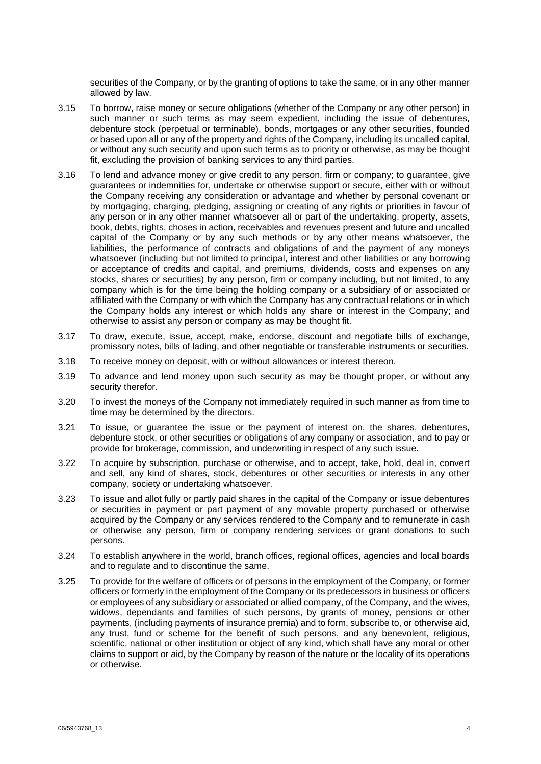securities of the Company, or by the granting of options to take the same, or in any other manner allowed by law.

- 3.15 To borrow, raise money or secure obligations (whether of the Company or any other person) in such manner or such terms as may seem expedient, including the issue of debentures, debenture stock (perpetual or terminable), bonds, mortgages or any other securities, founded or based upon all or any of the property and rights of the Company, including its uncalled capital, or without any such security and upon such terms as to priority or otherwise, as may be thought fit, excluding the provision of banking services to any third parties.
- 3.16 To lend and advance money or give credit to any person, firm or company; to guarantee, give guarantees or indemnities for, undertake or otherwise support or secure, either with or without the Company receiving any consideration or advantage and whether by personal covenant or by mortgaging, charging, pledging, assigning or creating of any rights or priorities in favour of any person or in any other manner whatsoever all or part of the undertaking, property, assets, book, debts, rights, choses in action, receivables and revenues present and future and uncalled capital of the Company or by any such methods or by any other means whatsoever, the liabilities, the performance of contracts and obligations of and the payment of any moneys whatsoever (including but not limited to principal, interest and other liabilities or any borrowing or acceptance of credits and capital, and premiums, dividends, costs and expenses on any stocks, shares or securities) by any person, firm or company including, but not limited, to any company which is for the time being the holding company or a subsidiary of or associated or affiliated with the Company or with which the Company has any contractual relations or in which the Company holds any interest or which holds any share or interest in the Company; and otherwise to assist any person or company as may be thought fit.
- 3.17 To draw, execute, issue, accept, make, endorse, discount and negotiate bills of exchange, promissory notes, bills of lading, and other negotiable or transferable instruments or securities.
- 3.18 To receive money on deposit, with or without allowances or interest thereon.
- 3.19 To advance and lend money upon such security as may be thought proper, or without any security therefor.
- 3.20 To invest the moneys of the Company not immediately required in such manner as from time to time may be determined by the directors.
- 3.21 To issue, or guarantee the issue or the payment of interest on, the shares, debentures, debenture stock, or other securities or obligations of any company or association, and to pay or provide for brokerage, commission, and underwriting in respect of any such issue.
- 3.22 To acquire by subscription, purchase or otherwise, and to accept, take, hold, deal in, convert and sell, any kind of shares, stock, debentures or other securities or interests in any other company, society or undertaking whatsoever.
- 3.23 To issue and allot fully or partly paid shares in the capital of the Company or issue debentures or securities in payment or part payment of any movable property purchased or otherwise acquired by the Company or any services rendered to the Company and to remunerate in cash or otherwise any person, firm or company rendering services or grant donations to such persons.
- 3.24 To establish anywhere in the world, branch offices, regional offices, agencies and local boards and to regulate and to discontinue the same.
- 3.25 To provide for the welfare of officers or of persons in the employment of the Company, or former officers or formerly in the employment of the Company or its predecessors in business or officers or employees of any subsidiary or associated or allied company, of the Company, and the wives, widows, dependants and families of such persons, by grants of money, pensions or other payments, (including payments of insurance premia) and to form, subscribe to, or otherwise aid, any trust, fund or scheme for the benefit of such persons, and any benevolent, religious, scientific, national or other institution or object of any kind, which shall have any moral or other claims to support or aid, by the Company by reason of the nature or the locality of its operations or otherwise.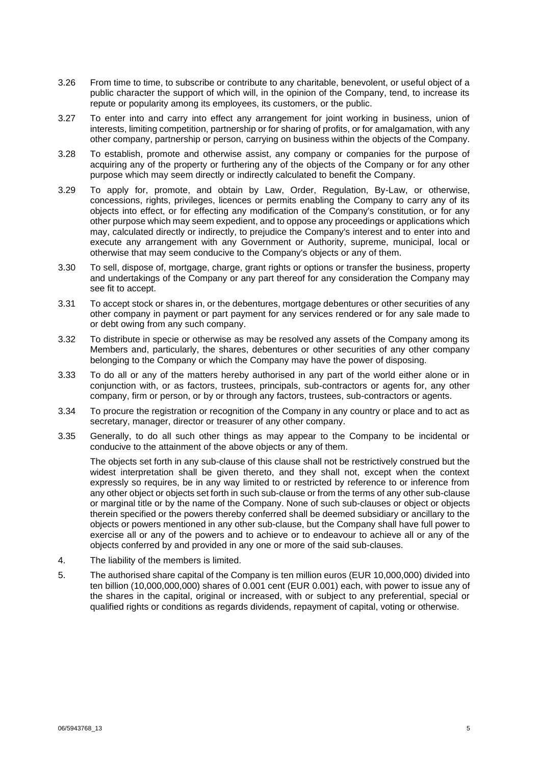- 3.26 From time to time, to subscribe or contribute to any charitable, benevolent, or useful object of a public character the support of which will, in the opinion of the Company, tend, to increase its repute or popularity among its employees, its customers, or the public.
- 3.27 To enter into and carry into effect any arrangement for joint working in business, union of interests, limiting competition, partnership or for sharing of profits, or for amalgamation, with any other company, partnership or person, carrying on business within the objects of the Company.
- 3.28 To establish, promote and otherwise assist, any company or companies for the purpose of acquiring any of the property or furthering any of the objects of the Company or for any other purpose which may seem directly or indirectly calculated to benefit the Company.
- 3.29 To apply for, promote, and obtain by Law, Order, Regulation, By-Law, or otherwise, concessions, rights, privileges, licences or permits enabling the Company to carry any of its objects into effect, or for effecting any modification of the Company's constitution, or for any other purpose which may seem expedient, and to oppose any proceedings or applications which may, calculated directly or indirectly, to prejudice the Company's interest and to enter into and execute any arrangement with any Government or Authority, supreme, municipal, local or otherwise that may seem conducive to the Company's objects or any of them.
- 3.30 To sell, dispose of, mortgage, charge, grant rights or options or transfer the business, property and undertakings of the Company or any part thereof for any consideration the Company may see fit to accept.
- 3.31 To accept stock or shares in, or the debentures, mortgage debentures or other securities of any other company in payment or part payment for any services rendered or for any sale made to or debt owing from any such company.
- 3.32 To distribute in specie or otherwise as may be resolved any assets of the Company among its Members and, particularly, the shares, debentures or other securities of any other company belonging to the Company or which the Company may have the power of disposing.
- 3.33 To do all or any of the matters hereby authorised in any part of the world either alone or in conjunction with, or as factors, trustees, principals, sub-contractors or agents for, any other company, firm or person, or by or through any factors, trustees, sub-contractors or agents.
- 3.34 To procure the registration or recognition of the Company in any country or place and to act as secretary, manager, director or treasurer of any other company.
- 3.35 Generally, to do all such other things as may appear to the Company to be incidental or conducive to the attainment of the above objects or any of them.

The objects set forth in any sub-clause of this clause shall not be restrictively construed but the widest interpretation shall be given thereto, and they shall not, except when the context expressly so requires, be in any way limited to or restricted by reference to or inference from any other object or objects set forth in such sub-clause or from the terms of any other sub-clause or marginal title or by the name of the Company. None of such sub-clauses or object or objects therein specified or the powers thereby conferred shall be deemed subsidiary or ancillary to the objects or powers mentioned in any other sub-clause, but the Company shall have full power to exercise all or any of the powers and to achieve or to endeavour to achieve all or any of the objects conferred by and provided in any one or more of the said sub-clauses.

- <span id="page-4-0"></span>4. The liability of the members is limited.
- 5. The authorised share capital of the Company is ten million euros (EUR 10,000,000) divided into ten billion (10,000,000,000) shares of 0.001 cent (EUR 0.001) each, with power to issue any of the shares in the capital, original or increased, with or subject to any preferential, special or qualified rights or conditions as regards dividends, repayment of capital, voting or otherwise.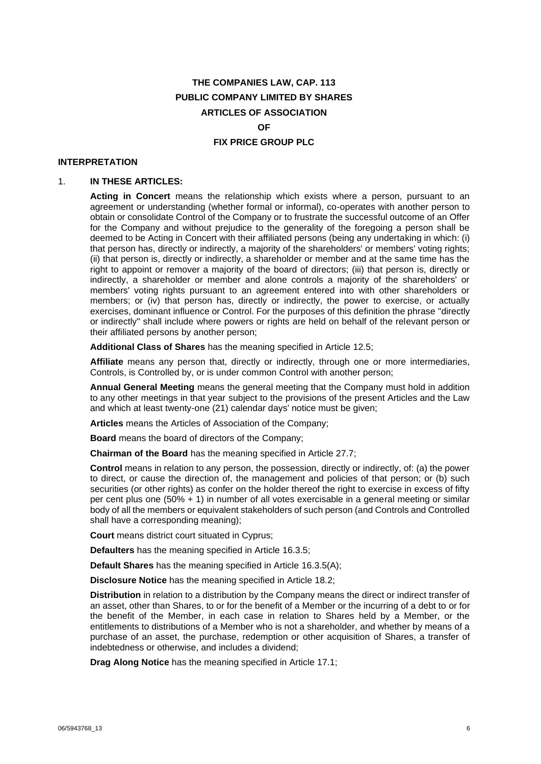# **THE COMPANIES LAW, CAP. 113 PUBLIC COMPANY LIMITED BY SHARES ARTICLES OF ASSOCIATION OF**

#### **FIX PRICE GROUP PLC**

#### **INTERPRETATION**

#### 1. **IN THESE ARTICLES:**

**Acting in Concert** means the relationship which exists where a person, pursuant to an agreement or understanding (whether formal or informal), co-operates with another person to obtain or consolidate Control of the Company or to frustrate the successful outcome of an Offer for the Company and without prejudice to the generality of the foregoing a person shall be deemed to be Acting in Concert with their affiliated persons (being any undertaking in which: (i) that person has, directly or indirectly, a majority of the shareholders' or members' voting rights; (ii) that person is, directly or indirectly, a shareholder or member and at the same time has the right to appoint or remover a majority of the board of directors; (iii) that person is, directly or indirectly, a shareholder or member and alone controls a majority of the shareholders' or members' voting rights pursuant to an agreement entered into with other shareholders or members; or (iv) that person has, directly or indirectly, the power to exercise, or actually exercises, dominant influence or Control. For the purposes of this definition the phrase "directly or indirectly" shall include where powers or rights are held on behalf of the relevant person or their affiliated persons by another person;

**Additional Class of Shares** has the meaning specified in Article [12.5;](#page-11-0)

**Affiliate** means any person that, directly or indirectly, through one or more intermediaries, Controls, is Controlled by, or is under common Control with another person;

**Annual General Meeting** means the general meeting that the Company must hold in addition to any other meetings in that year subject to the provisions of the present Articles and the Law and which at least twenty-one (21) calendar days' notice must be given;

**Articles** means the Articles of Association of the Company;

**Board** means the board of directors of the Company;

**Chairman of the Board** has the meaning specified in Article [27.7;](#page-26-0)

**Control** means in relation to any person, the possession, directly or indirectly, of: (a) the power to direct, or cause the direction of, the management and policies of that person; or (b) such securities (or other rights) as confer on the holder thereof the right to exercise in excess of fifty per cent plus one (50% + 1) in number of all votes exercisable in a general meeting or similar body of all the members or equivalent stakeholders of such person (and Controls and Controlled shall have a corresponding meaning);

**Court** means district court situated in Cyprus;

**Defaulters** has the meaning specified in Article [16.3.5;](#page-14-0)

**Default Shares** has the meaning specified in Article [16.3.5\(A\);](#page-14-1)

**Disclosure Notice** has the meaning specified in Article [18.2;](#page-16-0)

**Distribution** in relation to a distribution by the Company means the direct or indirect transfer of an asset, other than Shares, to or for the benefit of a Member or the incurring of a debt to or for the benefit of the Member, in each case in relation to Shares held by a Member, or the entitlements to distributions of a Member who is not a shareholder, and whether by means of a purchase of an asset, the purchase, redemption or other acquisition of Shares, a transfer of indebtedness or otherwise, and includes a dividend;

**Drag Along Notice** has the meaning specified in Article [17.1;](#page-15-0)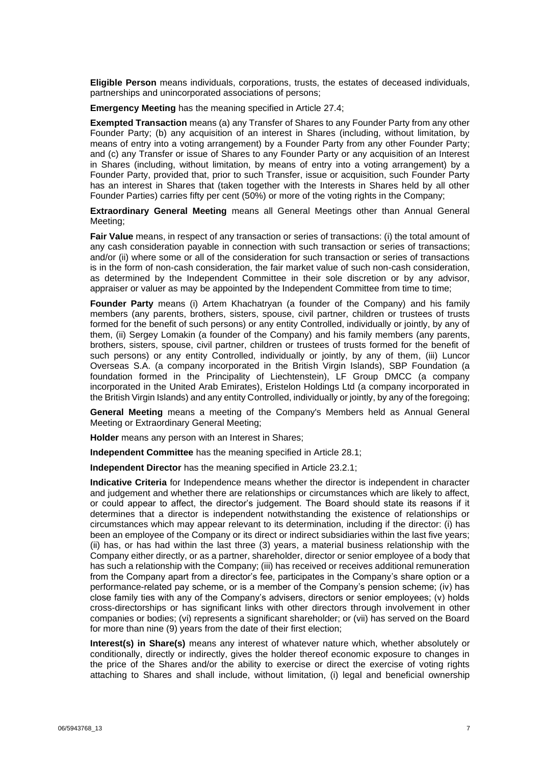**Eligible Person** means individuals, corporations, trusts, the estates of deceased individuals, partnerships and unincorporated associations of persons;

**Emergency Meeting** has the meaning specified in Article [27.4;](#page-26-1)

**Exempted Transaction** means (a) any Transfer of Shares to any Founder Party from any other Founder Party; (b) any acquisition of an interest in Shares (including, without limitation, by means of entry into a voting arrangement) by a Founder Party from any other Founder Party; and (c) any Transfer or issue of Shares to any Founder Party or any acquisition of an Interest in Shares (including, without limitation, by means of entry into a voting arrangement) by a Founder Party, provided that, prior to such Transfer, issue or acquisition, such Founder Party has an interest in Shares that (taken together with the Interests in Shares held by all other Founder Parties) carries fifty per cent (50%) or more of the voting rights in the Company;

**Extraordinary General Meeting** means all General Meetings other than Annual General Meeting;

**Fair Value** means, in respect of any transaction or series of transactions: (i) the total amount of any cash consideration payable in connection with such transaction or series of transactions; and/or (ii) where some or all of the consideration for such transaction or series of transactions is in the form of non-cash consideration, the fair market value of such non-cash consideration, as determined by the Independent Committee in their sole discretion or by any advisor, appraiser or valuer as may be appointed by the Independent Committee from time to time;

**Founder Party** means (i) Artem Khachatryan (a founder of the Company) and his family members (any parents, brothers, sisters, spouse, civil partner, children or trustees of trusts formed for the benefit of such persons) or any entity Controlled, individually or jointly, by any of them, (ii) Sergey Lomakin (a founder of the Company) and his family members (any parents, brothers, sisters, spouse, civil partner, children or trustees of trusts formed for the benefit of such persons) or any entity Controlled, individually or jointly, by any of them, (iii) Luncor Overseas S.A. (a company incorporated in the British Virgin Islands), SBP Foundation (a foundation formed in the Principality of Liechtenstein), LF Group DMCC (a company incorporated in the United Arab Emirates), Eristelon Holdings Ltd (a company incorporated in the British Virgin Islands) and any entity Controlled, individually or jointly, by any of the foregoing;

**General Meeting** means a meeting of the Company's Members held as Annual General Meeting or Extraordinary General Meeting;

**Holder** means any person with an Interest in Shares;

**Independent Committee** has the meaning specified in Article [28.1;](#page-27-0)

**Independent Director** has the meaning specified in Article [23.2.1;](#page-22-0)

**Indicative Criteria** for Independence means whether the director is independent in character and judgement and whether there are relationships or circumstances which are likely to affect, or could appear to affect, the director's judgement. The Board should state its reasons if it determines that a director is independent notwithstanding the existence of relationships or circumstances which may appear relevant to its determination, including if the director: (i) has been an employee of the Company or its direct or indirect subsidiaries within the last five years; (ii) has, or has had within the last three (3) years, a material business relationship with the Company either directly, or as a partner, shareholder, director or senior employee of a body that has such a relationship with the Company; (iii) has received or receives additional remuneration from the Company apart from a director's fee, participates in the Company's share option or a performance-related pay scheme, or is a member of the Company's pension scheme; (iv) has close family ties with any of the Company's advisers, directors or senior employees; (v) holds cross-directorships or has significant links with other directors through involvement in other companies or bodies; (vi) represents a significant shareholder; or (vii) has served on the Board for more than nine (9) years from the date of their first election;

**Interest(s) in Share(s)** means any interest of whatever nature which, whether absolutely or conditionally, directly or indirectly, gives the holder thereof economic exposure to changes in the price of the Shares and/or the ability to exercise or direct the exercise of voting rights attaching to Shares and shall include, without limitation, (i) legal and beneficial ownership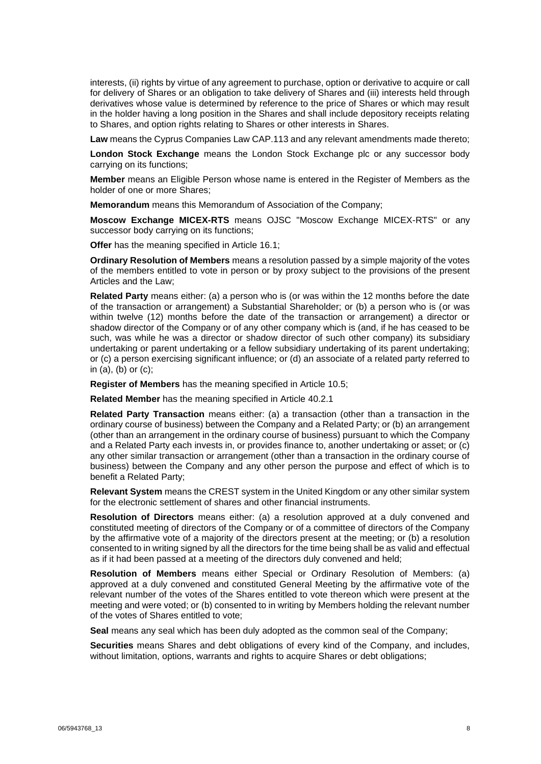interests, (ii) rights by virtue of any agreement to purchase, option or derivative to acquire or call for delivery of Shares or an obligation to take delivery of Shares and (iii) interests held through derivatives whose value is determined by reference to the price of Shares or which may result in the holder having a long position in the Shares and shall include depository receipts relating to Shares, and option rights relating to Shares or other interests in Shares.

**Law** means the Cyprus Companies Law CAP.113 and any relevant amendments made thereto;

**London Stock Exchange** means the London Stock Exchange plc or any successor body carrying on its functions;

**Member** means an Eligible Person whose name is entered in the Register of Members as the holder of one or more Shares;

**Memorandum** means this Memorandum of Association of the Company;

**Moscow Exchange MICEX-RTS** means OJSC "Moscow Exchange MICEX-RTS" or any successor body carrying on its functions;

**Offer** has the meaning specified in Article [16.1;](#page-13-0)

**Ordinary Resolution of Members** means a resolution passed by a simple majority of the votes of the members entitled to vote in person or by proxy subject to the provisions of the present Articles and the Law;

**Related Party** means either: (a) a person who is (or was within the 12 months before the date of the transaction or arrangement) a Substantial Shareholder; or (b) a person who is (or was within twelve (12) months before the date of the transaction or arrangement) a director or shadow director of the Company or of any other company which is (and, if he has ceased to be such, was while he was a director or shadow director of such other company) its subsidiary undertaking or parent undertaking or a fellow subsidiary undertaking of its parent undertaking; or (c) a person exercising significant influence; or (d) an associate of a related party referred to in  $(a)$ ,  $(b)$  or  $(c)$ ;

**Register of Members** has the meaning specified in Article [10.5;](#page-10-0)

**Related Member** has the meaning specified in Article [40.2.1](#page-33-0)

**Related Party Transaction** means either: (a) a transaction (other than a transaction in the ordinary course of business) between the Company and a Related Party; or (b) an arrangement (other than an arrangement in the ordinary course of business) pursuant to which the Company and a Related Party each invests in, or provides finance to, another undertaking or asset; or (c) any other similar transaction or arrangement (other than a transaction in the ordinary course of business) between the Company and any other person the purpose and effect of which is to benefit a Related Party;

**Relevant System** means the CREST system in the United Kingdom or any other similar system for the electronic settlement of shares and other financial instruments.

**Resolution of Directors** means either: (a) a resolution approved at a duly convened and constituted meeting of directors of the Company or of a committee of directors of the Company by the affirmative vote of a majority of the directors present at the meeting; or (b) a resolution consented to in writing signed by all the directors for the time being shall be as valid and effectual as if it had been passed at a meeting of the directors duly convened and held;

**Resolution of Members** means either Special or Ordinary Resolution of Members: (a) approved at a duly convened and constituted General Meeting by the affirmative vote of the relevant number of the votes of the Shares entitled to vote thereon which were present at the meeting and were voted; or (b) consented to in writing by Members holding the relevant number of the votes of Shares entitled to vote;

**Seal** means any seal which has been duly adopted as the common seal of the Company;

**Securities** means Shares and debt obligations of every kind of the Company, and includes, without limitation, options, warrants and rights to acquire Shares or debt obligations;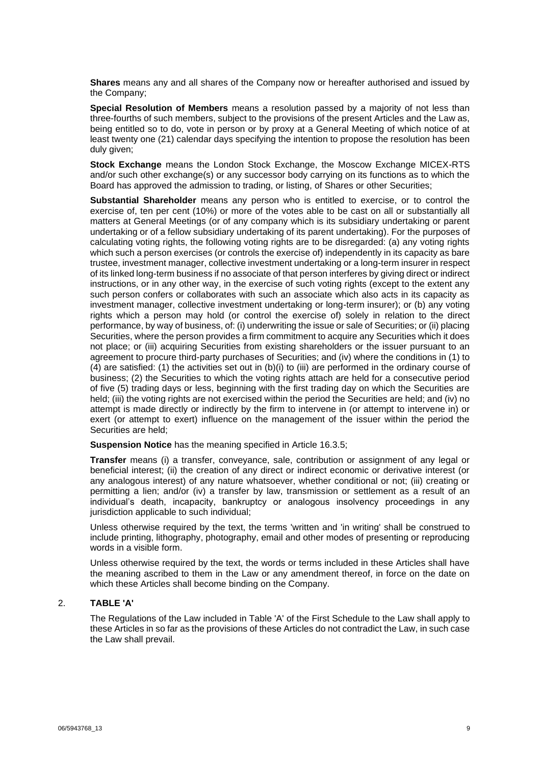**Shares** means any and all shares of the Company now or hereafter authorised and issued by the Company;

**Special Resolution of Members** means a resolution passed by a majority of not less than three-fourths of such members, subject to the provisions of the present Articles and the Law as, being entitled so to do, vote in person or by proxy at a General Meeting of which notice of at least twenty one (21) calendar days specifying the intention to propose the resolution has been duly given;

**Stock Exchange** means the London Stock Exchange, the Moscow Exchange MICEX-RTS and/or such other exchange(s) or any successor body carrying on its functions as to which the Board has approved the admission to trading, or listing, of Shares or other Securities;

**Substantial Shareholder** means any person who is entitled to exercise, or to control the exercise of, ten per cent (10%) or more of the votes able to be cast on all or substantially all matters at General Meetings (or of any company which is its subsidiary undertaking or parent undertaking or of a fellow subsidiary undertaking of its parent undertaking). For the purposes of calculating voting rights, the following voting rights are to be disregarded: (a) any voting rights which such a person exercises (or controls the exercise of) independently in its capacity as bare trustee, investment manager, collective investment undertaking or a long-term insurer in respect of its linked long-term business if no associate of that person interferes by giving direct or indirect instructions, or in any other way, in the exercise of such voting rights (except to the extent any such person confers or collaborates with such an associate which also acts in its capacity as investment manager, collective investment undertaking or long-term insurer); or (b) any voting rights which a person may hold (or control the exercise of) solely in relation to the direct performance, by way of business, of: (i) underwriting the issue or sale of Securities; or (ii) placing Securities, where the person provides a firm commitment to acquire any Securities which it does not place; or (iii) acquiring Securities from existing shareholders or the issuer pursuant to an agreement to procure third-party purchases of Securities; and (iv) where the conditions in (1) to (4) are satisfied: (1) the activities set out in (b)(i) to (iii) are performed in the ordinary course of business; (2) the Securities to which the voting rights attach are held for a consecutive period of five (5) trading days or less, beginning with the first trading day on which the Securities are held; (iii) the voting rights are not exercised within the period the Securities are held; and (iv) no attempt is made directly or indirectly by the firm to intervene in (or attempt to intervene in) or exert (or attempt to exert) influence on the management of the issuer within the period the Securities are held;

**Suspension Notice** has the meaning specified in Article [16.3.5;](#page-14-0)

**Transfer** means (i) a transfer, conveyance, sale, contribution or assignment of any legal or beneficial interest; (ii) the creation of any direct or indirect economic or derivative interest (or any analogous interest) of any nature whatsoever, whether conditional or not; (iii) creating or permitting a lien; and/or (iv) a transfer by law, transmission or settlement as a result of an individual's death, incapacity, bankruptcy or analogous insolvency proceedings in any jurisdiction applicable to such individual;

Unless otherwise required by the text, the terms 'written and 'in writing' shall be construed to include printing, lithography, photography, email and other modes of presenting or reproducing words in a visible form.

Unless otherwise required by the text, the words or terms included in these Articles shall have the meaning ascribed to them in the Law or any amendment thereof, in force on the date on which these Articles shall become binding on the Company.

#### 2. **TABLE 'A'**

The Regulations of the Law included in Table 'A' of the First Schedule to the Law shall apply to these Articles in so far as the provisions of these Articles do not contradict the Law, in such case the Law shall prevail.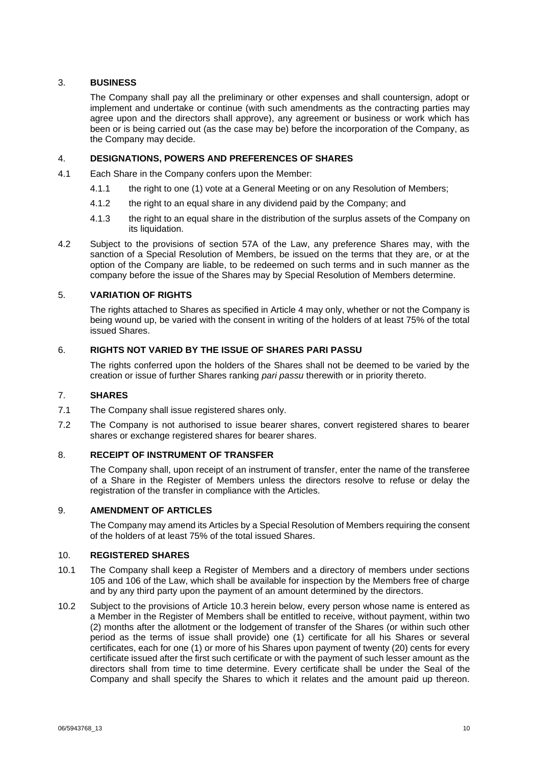## 3. **BUSINESS**

The Company shall pay all the preliminary or other expenses and shall countersign, adopt or implement and undertake or continue (with such amendments as the contracting parties may agree upon and the directors shall approve), any agreement or business or work which has been or is being carried out (as the case may be) before the incorporation of the Company, as the Company may decide.

## 4. **DESIGNATIONS, POWERS AND PREFERENCES OF SHARES**

- 4.1 Each Share in the Company confers upon the Member:
	- 4.1.1 the right to one (1) vote at a General Meeting or on any Resolution of Members;
	- 4.1.2 the right to an equal share in any dividend paid by the Company; and
	- 4.1.3 the right to an equal share in the distribution of the surplus assets of the Company on its liquidation.
- 4.2 Subject to the provisions of section 57A of the Law, any preference Shares may, with the sanction of a Special Resolution of Members, be issued on the terms that they are, or at the option of the Company are liable, to be redeemed on such terms and in such manner as the company before the issue of the Shares may by Special Resolution of Members determine.

## 5. **VARIATION OF RIGHTS**

The rights attached to Shares as specified in Article [4](#page-4-0) may only, whether or not the Company is being wound up, be varied with the consent in writing of the holders of at least 75% of the total issued Shares.

## 6. **RIGHTS NOT VARIED BY THE ISSUE OF SHARES PARI PASSU**

The rights conferred upon the holders of the Shares shall not be deemed to be varied by the creation or issue of further Shares ranking *pari passu* therewith or in priority thereto.

#### 7. **SHARES**

- 7.1 The Company shall issue registered shares only.
- 7.2 The Company is not authorised to issue bearer shares, convert registered shares to bearer shares or exchange registered shares for bearer shares.

## 8. **RECEIPT OF INSTRUMENT OF TRANSFER**

The Company shall, upon receipt of an instrument of transfer, enter the name of the transferee of a Share in the Register of Members unless the directors resolve to refuse or delay the registration of the transfer in compliance with the Articles.

#### 9. **AMENDMENT OF ARTICLES**

The Company may amend its Articles by a Special Resolution of Members requiring the consent of the holders of at least 75% of the total issued Shares.

#### 10. **REGISTERED SHARES**

- 10.1 The Company shall keep a Register of Members and a directory of members under sections 105 and 106 of the Law, which shall be available for inspection by the Members free of charge and by any third party upon the payment of an amount determined by the directors.
- 10.2 Subject to the provisions of Article [10.3](#page-10-1) herein below, every person whose name is entered as a Member in the Register of Members shall be entitled to receive, without payment, within two (2) months after the allotment or the lodgement of transfer of the Shares (or within such other period as the terms of issue shall provide) one (1) certificate for all his Shares or several certificates, each for one (1) or more of his Shares upon payment of twenty (20) cents for every certificate issued after the first such certificate or with the payment of such lesser amount as the directors shall from time to time determine. Every certificate shall be under the Seal of the Company and shall specify the Shares to which it relates and the amount paid up thereon.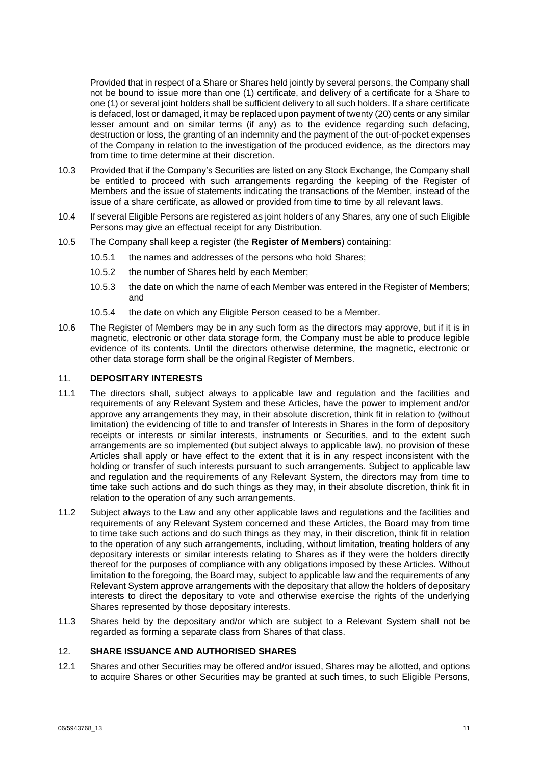Provided that in respect of a Share or Shares held jointly by several persons, the Company shall not be bound to issue more than one (1) certificate, and delivery of a certificate for a Share to one (1) or several joint holders shall be sufficient delivery to all such holders. If a share certificate is defaced, lost or damaged, it may be replaced upon payment of twenty (20) cents or any similar lesser amount and on similar terms (if any) as to the evidence regarding such defacing, destruction or loss, the granting of an indemnity and the payment of the out-of-pocket expenses of the Company in relation to the investigation of the produced evidence, as the directors may from time to time determine at their discretion.

- <span id="page-10-1"></span>10.3 Provided that if the Company's Securities are listed on any Stock Exchange, the Company shall be entitled to proceed with such arrangements regarding the keeping of the Register of Members and the issue of statements indicating the transactions of the Member, instead of the issue of a share certificate, as allowed or provided from time to time by all relevant laws.
- 10.4 If several Eligible Persons are registered as joint holders of any Shares, any one of such Eligible Persons may give an effectual receipt for any Distribution.
- <span id="page-10-0"></span>10.5 The Company shall keep a register (the **Register of Members**) containing:
	- 10.5.1 the names and addresses of the persons who hold Shares;
	- 10.5.2 the number of Shares held by each Member;
	- 10.5.3 the date on which the name of each Member was entered in the Register of Members; and
	- 10.5.4 the date on which any Eligible Person ceased to be a Member.
- 10.6 The Register of Members may be in any such form as the directors may approve, but if it is in magnetic, electronic or other data storage form, the Company must be able to produce legible evidence of its contents. Until the directors otherwise determine, the magnetic, electronic or other data storage form shall be the original Register of Members.

#### 11. **DEPOSITARY INTERESTS**

- 11.1 The directors shall, subject always to applicable law and regulation and the facilities and requirements of any Relevant System and these Articles, have the power to implement and/or approve any arrangements they may, in their absolute discretion, think fit in relation to (without limitation) the evidencing of title to and transfer of Interests in Shares in the form of depository receipts or interests or similar interests, instruments or Securities, and to the extent such arrangements are so implemented (but subject always to applicable law), no provision of these Articles shall apply or have effect to the extent that it is in any respect inconsistent with the holding or transfer of such interests pursuant to such arrangements. Subject to applicable law and regulation and the requirements of any Relevant System, the directors may from time to time take such actions and do such things as they may, in their absolute discretion, think fit in relation to the operation of any such arrangements.
- 11.2 Subject always to the Law and any other applicable laws and regulations and the facilities and requirements of any Relevant System concerned and these Articles, the Board may from time to time take such actions and do such things as they may, in their discretion, think fit in relation to the operation of any such arrangements, including, without limitation, treating holders of any depositary interests or similar interests relating to Shares as if they were the holders directly thereof for the purposes of compliance with any obligations imposed by these Articles. Without limitation to the foregoing, the Board may, subject to applicable law and the requirements of any Relevant System approve arrangements with the depositary that allow the holders of depositary interests to direct the depositary to vote and otherwise exercise the rights of the underlying Shares represented by those depositary interests.
- 11.3 Shares held by the depositary and/or which are subject to a Relevant System shall not be regarded as forming a separate class from Shares of that class.

#### 12. **SHARE ISSUANCE AND AUTHORISED SHARES**

12.1 Shares and other Securities may be offered and/or issued, Shares may be allotted, and options to acquire Shares or other Securities may be granted at such times, to such Eligible Persons,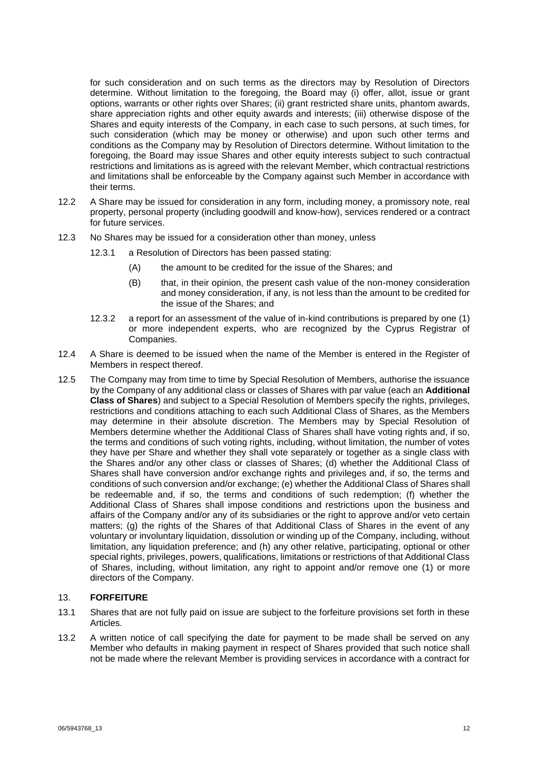for such consideration and on such terms as the directors may by Resolution of Directors determine. Without limitation to the foregoing, the Board may (i) offer, allot, issue or grant options, warrants or other rights over Shares; (ii) grant restricted share units, phantom awards, share appreciation rights and other equity awards and interests; (iii) otherwise dispose of the Shares and equity interests of the Company, in each case to such persons, at such times, for such consideration (which may be money or otherwise) and upon such other terms and conditions as the Company may by Resolution of Directors determine. Without limitation to the foregoing, the Board may issue Shares and other equity interests subject to such contractual restrictions and limitations as is agreed with the relevant Member, which contractual restrictions and limitations shall be enforceable by the Company against such Member in accordance with their terms.

- 12.2 A Share may be issued for consideration in any form, including money, a promissory note, real property, personal property (including goodwill and know-how), services rendered or a contract for future services.
- 12.3 No Shares may be issued for a consideration other than money, unless
	- 12.3.1 a Resolution of Directors has been passed stating:
		- (A) the amount to be credited for the issue of the Shares; and
		- (B) that, in their opinion, the present cash value of the non-money consideration and money consideration, if any, is not less than the amount to be credited for the issue of the Shares; and
	- 12.3.2 a report for an assessment of the value of in-kind contributions is prepared by one (1) or more independent experts, who are recognized by the Cyprus Registrar of Companies.
- 12.4 A Share is deemed to be issued when the name of the Member is entered in the Register of Members in respect thereof.
- <span id="page-11-0"></span>12.5 The Company may from time to time by Special Resolution of Members, authorise the issuance by the Company of any additional class or classes of Shares with par value (each an **Additional Class of Shares**) and subject to a Special Resolution of Members specify the rights, privileges, restrictions and conditions attaching to each such Additional Class of Shares, as the Members may determine in their absolute discretion. The Members may by Special Resolution of Members determine whether the Additional Class of Shares shall have voting rights and, if so, the terms and conditions of such voting rights, including, without limitation, the number of votes they have per Share and whether they shall vote separately or together as a single class with the Shares and/or any other class or classes of Shares; (d) whether the Additional Class of Shares shall have conversion and/or exchange rights and privileges and, if so, the terms and conditions of such conversion and/or exchange; (e) whether the Additional Class of Shares shall be redeemable and, if so, the terms and conditions of such redemption; (f) whether the Additional Class of Shares shall impose conditions and restrictions upon the business and affairs of the Company and/or any of its subsidiaries or the right to approve and/or veto certain matters; (g) the rights of the Shares of that Additional Class of Shares in the event of any voluntary or involuntary liquidation, dissolution or winding up of the Company, including, without limitation, any liquidation preference; and (h) any other relative, participating, optional or other special rights, privileges, powers, qualifications, limitations or restrictions of that Additional Class of Shares, including, without limitation, any right to appoint and/or remove one (1) or more directors of the Company.

## 13. **FORFEITURE**

- 13.1 Shares that are not fully paid on issue are subject to the forfeiture provisions set forth in these Articles.
- <span id="page-11-1"></span>13.2 A written notice of call specifying the date for payment to be made shall be served on any Member who defaults in making payment in respect of Shares provided that such notice shall not be made where the relevant Member is providing services in accordance with a contract for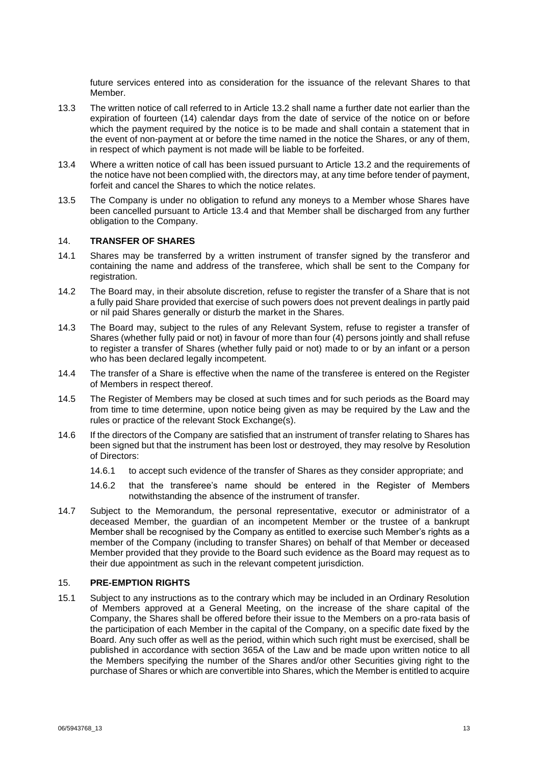future services entered into as consideration for the issuance of the relevant Shares to that Member.

- 13.3 The written notice of call referred to in Article [13.2](#page-11-1) shall name a further date not earlier than the expiration of fourteen (14) calendar days from the date of service of the notice on or before which the payment required by the notice is to be made and shall contain a statement that in the event of non-payment at or before the time named in the notice the Shares, or any of them, in respect of which payment is not made will be liable to be forfeited.
- <span id="page-12-0"></span>13.4 Where a written notice of call has been issued pursuant to Article [13.2](#page-11-1) and the requirements of the notice have not been complied with, the directors may, at any time before tender of payment, forfeit and cancel the Shares to which the notice relates.
- 13.5 The Company is under no obligation to refund any moneys to a Member whose Shares have been cancelled pursuant to Article [13.4](#page-12-0) and that Member shall be discharged from any further obligation to the Company.

#### 14. **TRANSFER OF SHARES**

- 14.1 Shares may be transferred by a written instrument of transfer signed by the transferor and containing the name and address of the transferee, which shall be sent to the Company for registration.
- 14.2 The Board may, in their absolute discretion, refuse to register the transfer of a Share that is not a fully paid Share provided that exercise of such powers does not prevent dealings in partly paid or nil paid Shares generally or disturb the market in the Shares.
- 14.3 The Board may, subject to the rules of any Relevant System, refuse to register a transfer of Shares (whether fully paid or not) in favour of more than four (4) persons jointly and shall refuse to register a transfer of Shares (whether fully paid or not) made to or by an infant or a person who has been declared legally incompetent.
- 14.4 The transfer of a Share is effective when the name of the transferee is entered on the Register of Members in respect thereof.
- 14.5 The Register of Members may be closed at such times and for such periods as the Board may from time to time determine, upon notice being given as may be required by the Law and the rules or practice of the relevant Stock Exchange(s).
- 14.6 If the directors of the Company are satisfied that an instrument of transfer relating to Shares has been signed but that the instrument has been lost or destroyed, they may resolve by Resolution of Directors:
	- 14.6.1 to accept such evidence of the transfer of Shares as they consider appropriate; and
	- 14.6.2 that the transferee's name should be entered in the Register of Members notwithstanding the absence of the instrument of transfer.
- 14.7 Subject to the Memorandum, the personal representative, executor or administrator of a deceased Member, the guardian of an incompetent Member or the trustee of a bankrupt Member shall be recognised by the Company as entitled to exercise such Member's rights as a member of the Company (including to transfer Shares) on behalf of that Member or deceased Member provided that they provide to the Board such evidence as the Board may request as to their due appointment as such in the relevant competent jurisdiction.

#### 15. **PRE-EMPTION RIGHTS**

15.1 Subject to any instructions as to the contrary which may be included in an Ordinary Resolution of Members approved at a General Meeting, on the increase of the share capital of the Company, the Shares shall be offered before their issue to the Members on a pro-rata basis of the participation of each Member in the capital of the Company, on a specific date fixed by the Board. Any such offer as well as the period, within which such right must be exercised, shall be published in accordance with section 365A of the Law and be made upon written notice to all the Members specifying the number of the Shares and/or other Securities giving right to the purchase of Shares or which are convertible into Shares, which the Member is entitled to acquire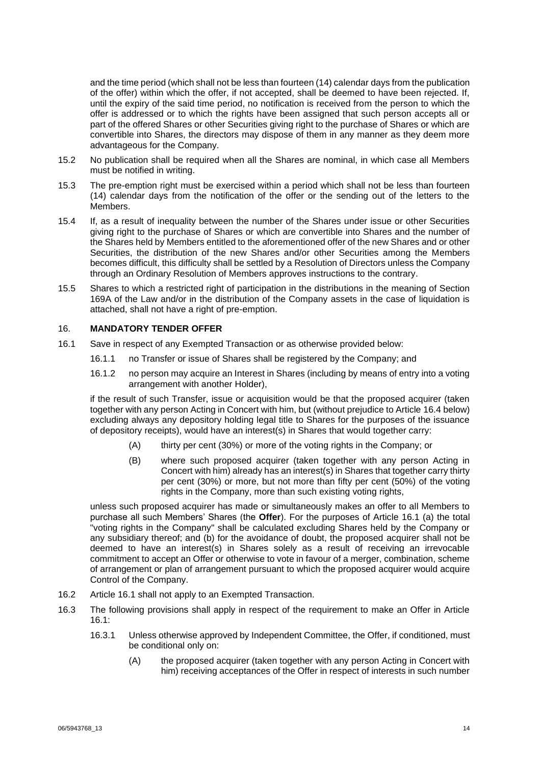and the time period (which shall not be less than fourteen (14) calendar days from the publication of the offer) within which the offer, if not accepted, shall be deemed to have been rejected. If, until the expiry of the said time period, no notification is received from the person to which the offer is addressed or to which the rights have been assigned that such person accepts all or part of the offered Shares or other Securities giving right to the purchase of Shares or which are convertible into Shares, the directors may dispose of them in any manner as they deem more advantageous for the Company.

- 15.2 No publication shall be required when all the Shares are nominal, in which case all Members must be notified in writing.
- 15.3 The pre-emption right must be exercised within a period which shall not be less than fourteen (14) calendar days from the notification of the offer or the sending out of the letters to the Members.
- 15.4 If, as a result of inequality between the number of the Shares under issue or other Securities giving right to the purchase of Shares or which are convertible into Shares and the number of the Shares held by Members entitled to the aforementioned offer of the new Shares and or other Securities, the distribution of the new Shares and/or other Securities among the Members becomes difficult, this difficulty shall be settled by a Resolution of Directors unless the Company through an Ordinary Resolution of Members approves instructions to the contrary.
- 15.5 Shares to which a restricted right of participation in the distributions in the meaning of Section 169A of the Law and/or in the distribution of the Company assets in the case of liquidation is attached, shall not have a right of pre-emption.

#### <span id="page-13-1"></span>16. **MANDATORY TENDER OFFER**

- <span id="page-13-0"></span>16.1 Save in respect of any Exempted Transaction or as otherwise provided below:
	- 16.1.1 no Transfer or issue of Shares shall be registered by the Company; and
	- 16.1.2 no person may acquire an Interest in Shares (including by means of entry into a voting arrangement with another Holder),

if the result of such Transfer, issue or acquisition would be that the proposed acquirer (taken together with any person Acting in Concert with him, but (without prejudice to Article [16.4](#page-15-1) below) excluding always any depository holding legal title to Shares for the purposes of the issuance of depository receipts), would have an interest(s) in Shares that would together carry:

- (A) thirty per cent (30%) or more of the voting rights in the Company; or
- (B) where such proposed acquirer (taken together with any person Acting in Concert with him) already has an interest(s) in Shares that together carry thirty per cent (30%) or more, but not more than fifty per cent (50%) of the voting rights in the Company, more than such existing voting rights,

unless such proposed acquirer has made or simultaneously makes an offer to all Members to purchase all such Members' Shares (the **Offer**). For the purposes of Article [16.1](#page-13-0) (a) the total "voting rights in the Company" shall be calculated excluding Shares held by the Company or any subsidiary thereof; and (b) for the avoidance of doubt, the proposed acquirer shall not be deemed to have an interest(s) in Shares solely as a result of receiving an irrevocable commitment to accept an Offer or otherwise to vote in favour of a merger, combination, scheme of arrangement or plan of arrangement pursuant to which the proposed acquirer would acquire Control of the Company.

- 16.2 Article [16.1](#page-13-0) shall not apply to an Exempted Transaction.
- 16.3 The following provisions shall apply in respect of the requirement to make an Offer in Article [16.1:](#page-13-0)
	- 16.3.1 Unless otherwise approved by Independent Committee, the Offer, if conditioned, must be conditional only on:
		- (A) the proposed acquirer (taken together with any person Acting in Concert with him) receiving acceptances of the Offer in respect of interests in such number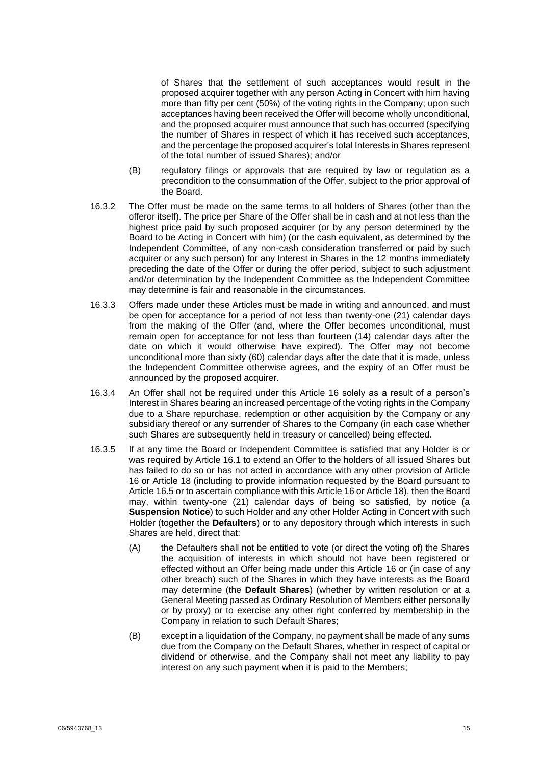of Shares that the settlement of such acceptances would result in the proposed acquirer together with any person Acting in Concert with him having more than fifty per cent (50%) of the voting rights in the Company; upon such acceptances having been received the Offer will become wholly unconditional, and the proposed acquirer must announce that such has occurred (specifying the number of Shares in respect of which it has received such acceptances, and the percentage the proposed acquirer's total Interests in Shares represent of the total number of issued Shares); and/or

- (B) regulatory filings or approvals that are required by law or regulation as a precondition to the consummation of the Offer, subject to the prior approval of the Board.
- 16.3.2 The Offer must be made on the same terms to all holders of Shares (other than the offeror itself). The price per Share of the Offer shall be in cash and at not less than the highest price paid by such proposed acquirer (or by any person determined by the Board to be Acting in Concert with him) (or the cash equivalent, as determined by the Independent Committee, of any non-cash consideration transferred or paid by such acquirer or any such person) for any Interest in Shares in the 12 months immediately preceding the date of the Offer or during the offer period, subject to such adjustment and/or determination by the Independent Committee as the Independent Committee may determine is fair and reasonable in the circumstances.
- 16.3.3 Offers made under these Articles must be made in writing and announced, and must be open for acceptance for a period of not less than twenty-one (21) calendar days from the making of the Offer (and, where the Offer becomes unconditional, must remain open for acceptance for not less than fourteen (14) calendar days after the date on which it would otherwise have expired). The Offer may not become unconditional more than sixty (60) calendar days after the date that it is made, unless the Independent Committee otherwise agrees, and the expiry of an Offer must be announced by the proposed acquirer.
- 16.3.4 An Offer shall not be required under this Article [16](#page-13-1) solely as a result of a person's Interest in Shares bearing an increased percentage of the voting rights in the Company due to a Share repurchase, redemption or other acquisition by the Company or any subsidiary thereof or any surrender of Shares to the Company (in each case whether such Shares are subsequently held in treasury or cancelled) being effected.
- <span id="page-14-1"></span><span id="page-14-0"></span>16.3.5 If at any time the Board or Independent Committee is satisfied that any Holder is or was required by Article [16.1](#page-13-0) to extend an Offer to the holders of all issued Shares but has failed to do so or has not acted in accordance with any other provision of Article [16](#page-13-1) or Article [18](#page-16-1) (including to provide information requested by the Board pursuant to Article [16.5](#page-15-2) or to ascertain compliance with this Article [16](#page-13-1) or Articl[e 18\)](#page-16-1), then the Board may, within twenty-one (21) calendar days of being so satisfied, by notice (a **Suspension Notice**) to such Holder and any other Holder Acting in Concert with such Holder (together the **Defaulters**) or to any depository through which interests in such Shares are held, direct that:
	- (A) the Defaulters shall not be entitled to vote (or direct the voting of) the Shares the acquisition of interests in which should not have been registered or effected without an Offer being made under this Article [16](#page-13-1) or (in case of any other breach) such of the Shares in which they have interests as the Board may determine (the **Default Shares**) (whether by written resolution or at a General Meeting passed as Ordinary Resolution of Members either personally or by proxy) or to exercise any other right conferred by membership in the Company in relation to such Default Shares;
	- (B) except in a liquidation of the Company, no payment shall be made of any sums due from the Company on the Default Shares, whether in respect of capital or dividend or otherwise, and the Company shall not meet any liability to pay interest on any such payment when it is paid to the Members;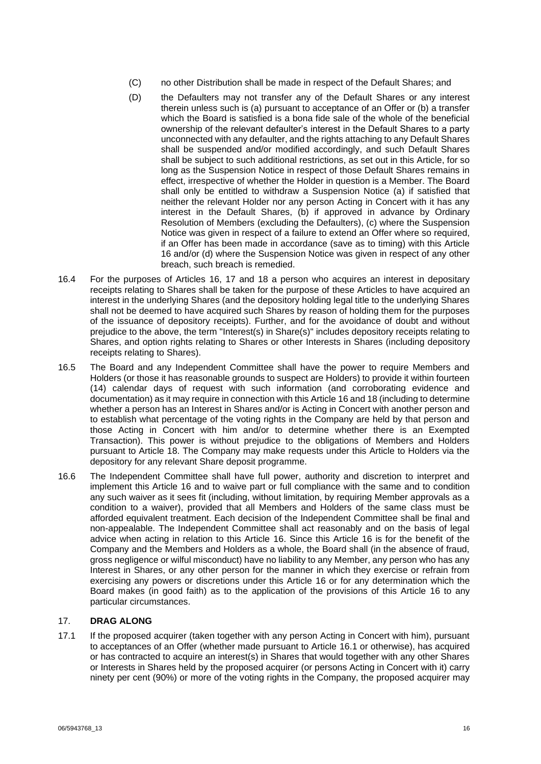- (C) no other Distribution shall be made in respect of the Default Shares; and
- (D) the Defaulters may not transfer any of the Default Shares or any interest therein unless such is (a) pursuant to acceptance of an Offer or (b) a transfer which the Board is satisfied is a bona fide sale of the whole of the beneficial ownership of the relevant defaulter's interest in the Default Shares to a party unconnected with any defaulter, and the rights attaching to any Default Shares shall be suspended and/or modified accordingly, and such Default Shares shall be subject to such additional restrictions, as set out in this Article, for so long as the Suspension Notice in respect of those Default Shares remains in effect, irrespective of whether the Holder in question is a Member. The Board shall only be entitled to withdraw a Suspension Notice (a) if satisfied that neither the relevant Holder nor any person Acting in Concert with it has any interest in the Default Shares, (b) if approved in advance by Ordinary Resolution of Members (excluding the Defaulters), (c) where the Suspension Notice was given in respect of a failure to extend an Offer where so required, if an Offer has been made in accordance (save as to timing) with this Article [16](#page-13-1) and/or (d) where the Suspension Notice was given in respect of any other breach, such breach is remedied.
- <span id="page-15-1"></span>16.4 For the purposes of Articles [16,](#page-13-1) [17](#page-15-3) and [18](#page-16-1) a person who acquires an interest in depositary receipts relating to Shares shall be taken for the purpose of these Articles to have acquired an interest in the underlying Shares (and the depository holding legal title to the underlying Shares shall not be deemed to have acquired such Shares by reason of holding them for the purposes of the issuance of depository receipts). Further, and for the avoidance of doubt and without prejudice to the above, the term "Interest(s) in Share(s)" includes depository receipts relating to Shares, and option rights relating to Shares or other Interests in Shares (including depository receipts relating to Shares).
- <span id="page-15-2"></span>16.5 The Board and any Independent Committee shall have the power to require Members and Holders (or those it has reasonable grounds to suspect are Holders) to provide it within fourteen (14) calendar days of request with such information (and corroborating evidence and documentation) as it may require in connection with this Article [16](#page-13-1) an[d 18](#page-16-1) (including to determine whether a person has an Interest in Shares and/or is Acting in Concert with another person and to establish what percentage of the voting rights in the Company are held by that person and those Acting in Concert with him and/or to determine whether there is an Exempted Transaction). This power is without prejudice to the obligations of Members and Holders pursuant to Article [18.](#page-16-1) The Company may make requests under this Article to Holders via the depository for any relevant Share deposit programme.
- 16.6 The Independent Committee shall have full power, authority and discretion to interpret and implement this Article [16](#page-13-1) and to waive part or full compliance with the same and to condition any such waiver as it sees fit (including, without limitation, by requiring Member approvals as a condition to a waiver), provided that all Members and Holders of the same class must be afforded equivalent treatment. Each decision of the Independent Committee shall be final and non-appealable. The Independent Committee shall act reasonably and on the basis of legal advice when acting in relation to this Article [16.](#page-13-1) Since this Article [16](#page-13-1) is for the benefit of the Company and the Members and Holders as a whole, the Board shall (in the absence of fraud, gross negligence or wilful misconduct) have no liability to any Member, any person who has any Interest in Shares, or any other person for the manner in which they exercise or refrain from exercising any powers or discretions under this Article [16](#page-13-1) or for any determination which the Board makes (in good faith) as to the application of the provisions of this Article [16](#page-13-1) to any particular circumstances.

## <span id="page-15-3"></span>17. **DRAG ALONG**

<span id="page-15-0"></span>17.1 If the proposed acquirer (taken together with any person Acting in Concert with him), pursuant to acceptances of an Offer (whether made pursuant to Article [16.1](#page-13-0) or otherwise), has acquired or has contracted to acquire an interest(s) in Shares that would together with any other Shares or Interests in Shares held by the proposed acquirer (or persons Acting in Concert with it) carry ninety per cent (90%) or more of the voting rights in the Company, the proposed acquirer may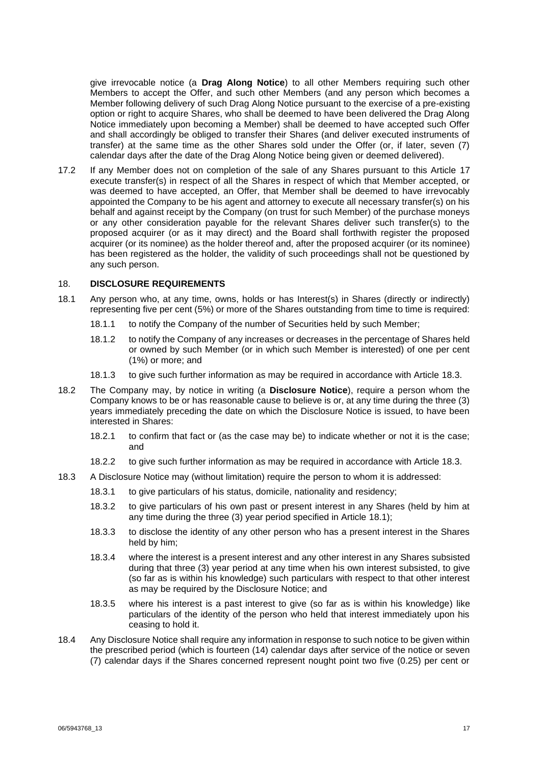give irrevocable notice (a **Drag Along Notice**) to all other Members requiring such other Members to accept the Offer, and such other Members (and any person which becomes a Member following delivery of such Drag Along Notice pursuant to the exercise of a pre-existing option or right to acquire Shares, who shall be deemed to have been delivered the Drag Along Notice immediately upon becoming a Member) shall be deemed to have accepted such Offer and shall accordingly be obliged to transfer their Shares (and deliver executed instruments of transfer) at the same time as the other Shares sold under the Offer (or, if later, seven (7) calendar days after the date of the Drag Along Notice being given or deemed delivered).

17.2 If any Member does not on completion of the sale of any Shares pursuant to this Article [17](#page-15-3) execute transfer(s) in respect of all the Shares in respect of which that Member accepted, or was deemed to have accepted, an Offer, that Member shall be deemed to have irrevocably appointed the Company to be his agent and attorney to execute all necessary transfer(s) on his behalf and against receipt by the Company (on trust for such Member) of the purchase moneys or any other consideration payable for the relevant Shares deliver such transfer(s) to the proposed acquirer (or as it may direct) and the Board shall forthwith register the proposed acquirer (or its nominee) as the holder thereof and, after the proposed acquirer (or its nominee) has been registered as the holder, the validity of such proceedings shall not be questioned by any such person.

### <span id="page-16-1"></span>18. **DISCLOSURE REQUIREMENTS**

- <span id="page-16-3"></span>18.1 Any person who, at any time, owns, holds or has Interest(s) in Shares (directly or indirectly) representing five per cent (5%) or more of the Shares outstanding from time to time is required:
	- 18.1.1 to notify the Company of the number of Securities held by such Member;
	- 18.1.2 to notify the Company of any increases or decreases in the percentage of Shares held or owned by such Member (or in which such Member is interested) of one per cent (1%) or more; and
	- 18.1.3 to give such further information as may be required in accordance with Article [18.3.](#page-16-2)
- <span id="page-16-0"></span>18.2 The Company may, by notice in writing (a **Disclosure Notice**), require a person whom the Company knows to be or has reasonable cause to believe is or, at any time during the three (3) years immediately preceding the date on which the Disclosure Notice is issued, to have been interested in Shares:
	- 18.2.1 to confirm that fact or (as the case may be) to indicate whether or not it is the case; and
	- 18.2.2 to give such further information as may be required in accordance with Article [18.3.](#page-16-2)
- <span id="page-16-2"></span>18.3 A Disclosure Notice may (without limitation) require the person to whom it is addressed:
	- 18.3.1 to give particulars of his status, domicile, nationality and residency;
	- 18.3.2 to give particulars of his own past or present interest in any Shares (held by him at any time during the three (3) year period specified in Article [18.1\)](#page-16-3);
	- 18.3.3 to disclose the identity of any other person who has a present interest in the Shares held by him;
	- 18.3.4 where the interest is a present interest and any other interest in any Shares subsisted during that three (3) year period at any time when his own interest subsisted, to give (so far as is within his knowledge) such particulars with respect to that other interest as may be required by the Disclosure Notice; and
	- 18.3.5 where his interest is a past interest to give (so far as is within his knowledge) like particulars of the identity of the person who held that interest immediately upon his ceasing to hold it.
- 18.4 Any Disclosure Notice shall require any information in response to such notice to be given within the prescribed period (which is fourteen (14) calendar days after service of the notice or seven (7) calendar days if the Shares concerned represent nought point two five (0.25) per cent or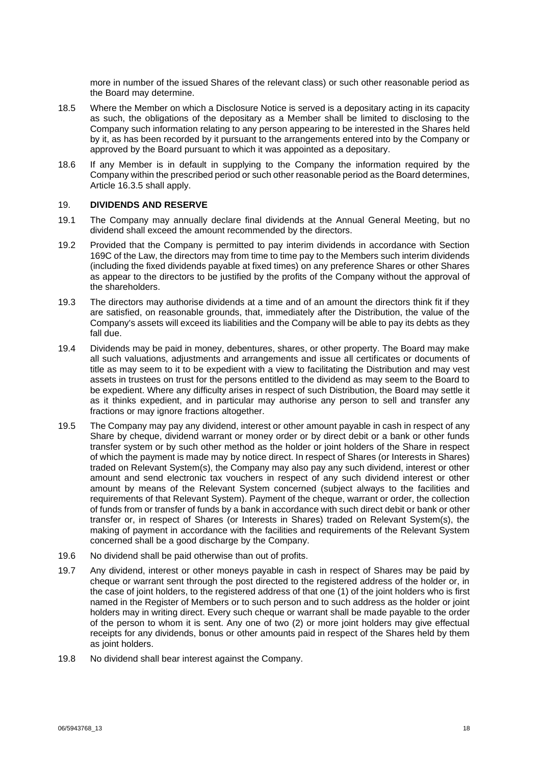more in number of the issued Shares of the relevant class) or such other reasonable period as the Board may determine.

- 18.5 Where the Member on which a Disclosure Notice is served is a depositary acting in its capacity as such, the obligations of the depositary as a Member shall be limited to disclosing to the Company such information relating to any person appearing to be interested in the Shares held by it, as has been recorded by it pursuant to the arrangements entered into by the Company or approved by the Board pursuant to which it was appointed as a depositary.
- 18.6 If any Member is in default in supplying to the Company the information required by the Company within the prescribed period or such other reasonable period as the Board determines, Article [16.3.5](#page-14-0) shall apply.

#### 19. **DIVIDENDS AND RESERVE**

- 19.1 The Company may annually declare final dividends at the Annual General Meeting, but no dividend shall exceed the amount recommended by the directors.
- 19.2 Provided that the Company is permitted to pay interim dividends in accordance with Section 169C of the Law, the directors may from time to time pay to the Members such interim dividends (including the fixed dividends payable at fixed times) on any preference Shares or other Shares as appear to the directors to be justified by the profits of the Company without the approval of the shareholders.
- 19.3 The directors may authorise dividends at a time and of an amount the directors think fit if they are satisfied, on reasonable grounds, that, immediately after the Distribution, the value of the Company's assets will exceed its liabilities and the Company will be able to pay its debts as they fall due.
- 19.4 Dividends may be paid in money, debentures, shares, or other property. The Board may make all such valuations, adjustments and arrangements and issue all certificates or documents of title as may seem to it to be expedient with a view to facilitating the Distribution and may vest assets in trustees on trust for the persons entitled to the dividend as may seem to the Board to be expedient. Where any difficulty arises in respect of such Distribution, the Board may settle it as it thinks expedient, and in particular may authorise any person to sell and transfer any fractions or may ignore fractions altogether.
- 19.5 The Company may pay any dividend, interest or other amount payable in cash in respect of any Share by cheque, dividend warrant or money order or by direct debit or a bank or other funds transfer system or by such other method as the holder or joint holders of the Share in respect of which the payment is made may by notice direct. In respect of Shares (or Interests in Shares) traded on Relevant System(s), the Company may also pay any such dividend, interest or other amount and send electronic tax vouchers in respect of any such dividend interest or other amount by means of the Relevant System concerned (subject always to the facilities and requirements of that Relevant System). Payment of the cheque, warrant or order, the collection of funds from or transfer of funds by a bank in accordance with such direct debit or bank or other transfer or, in respect of Shares (or Interests in Shares) traded on Relevant System(s), the making of payment in accordance with the facilities and requirements of the Relevant System concerned shall be a good discharge by the Company.
- 19.6 No dividend shall be paid otherwise than out of profits.
- 19.7 Any dividend, interest or other moneys payable in cash in respect of Shares may be paid by cheque or warrant sent through the post directed to the registered address of the holder or, in the case of joint holders, to the registered address of that one (1) of the joint holders who is first named in the Register of Members or to such person and to such address as the holder or joint holders may in writing direct. Every such cheque or warrant shall be made payable to the order of the person to whom it is sent. Any one of two (2) or more joint holders may give effectual receipts for any dividends, bonus or other amounts paid in respect of the Shares held by them as joint holders.
- 19.8 No dividend shall bear interest against the Company.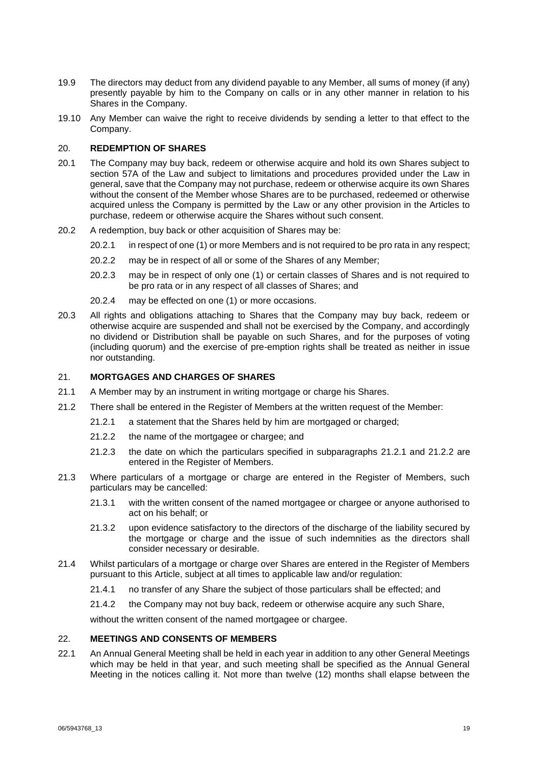- 19.9 The directors may deduct from any dividend payable to any Member, all sums of money (if any) presently payable by him to the Company on calls or in any other manner in relation to his Shares in the Company.
- 19.10 Any Member can waive the right to receive dividends by sending a letter to that effect to the Company.

#### 20. **REDEMPTION OF SHARES**

- 20.1 The Company may buy back, redeem or otherwise acquire and hold its own Shares subject to section 57A of the Law and subject to limitations and procedures provided under the Law in general, save that the Company may not purchase, redeem or otherwise acquire its own Shares without the consent of the Member whose Shares are to be purchased, redeemed or otherwise acquired unless the Company is permitted by the Law or any other provision in the Articles to purchase, redeem or otherwise acquire the Shares without such consent.
- 20.2 A redemption, buy back or other acquisition of Shares may be:
	- 20.2.1 in respect of one (1) or more Members and is not required to be pro rata in any respect;
	- 20.2.2 may be in respect of all or some of the Shares of any Member;
	- 20.2.3 may be in respect of only one (1) or certain classes of Shares and is not required to be pro rata or in any respect of all classes of Shares; and
	- 20.2.4 may be effected on one (1) or more occasions.
- 20.3 All rights and obligations attaching to Shares that the Company may buy back, redeem or otherwise acquire are suspended and shall not be exercised by the Company, and accordingly no dividend or Distribution shall be payable on such Shares, and for the purposes of voting (including quorum) and the exercise of pre-emption rights shall be treated as neither in issue nor outstanding.

## 21. **MORTGAGES AND CHARGES OF SHARES**

- 21.1 A Member may by an instrument in writing mortgage or charge his Shares.
- <span id="page-18-1"></span><span id="page-18-0"></span>21.2 There shall be entered in the Register of Members at the written request of the Member:
	- 21.2.1 a statement that the Shares held by him are mortgaged or charged;
	- 21.2.2 the name of the mortgagee or chargee; and
	- 21.2.3 the date on which the particulars specified in subparagraphs [21.2.1](#page-18-0) and [21.2.2](#page-18-1) are entered in the Register of Members.
- 21.3 Where particulars of a mortgage or charge are entered in the Register of Members, such particulars may be cancelled:
	- 21.3.1 with the written consent of the named mortgagee or chargee or anyone authorised to act on his behalf; or
	- 21.3.2 upon evidence satisfactory to the directors of the discharge of the liability secured by the mortgage or charge and the issue of such indemnities as the directors shall consider necessary or desirable.
- 21.4 Whilst particulars of a mortgage or charge over Shares are entered in the Register of Members pursuant to this Article, subject at all times to applicable law and/or regulation:
	- 21.4.1 no transfer of any Share the subject of those particulars shall be effected; and
	- 21.4.2 the Company may not buy back, redeem or otherwise acquire any such Share,

without the written consent of the named mortgagee or chargee.

#### 22. **MEETINGS AND CONSENTS OF MEMBERS**

22.1 An Annual General Meeting shall be held in each year in addition to any other General Meetings which may be held in that year, and such meeting shall be specified as the Annual General Meeting in the notices calling it. Not more than twelve (12) months shall elapse between the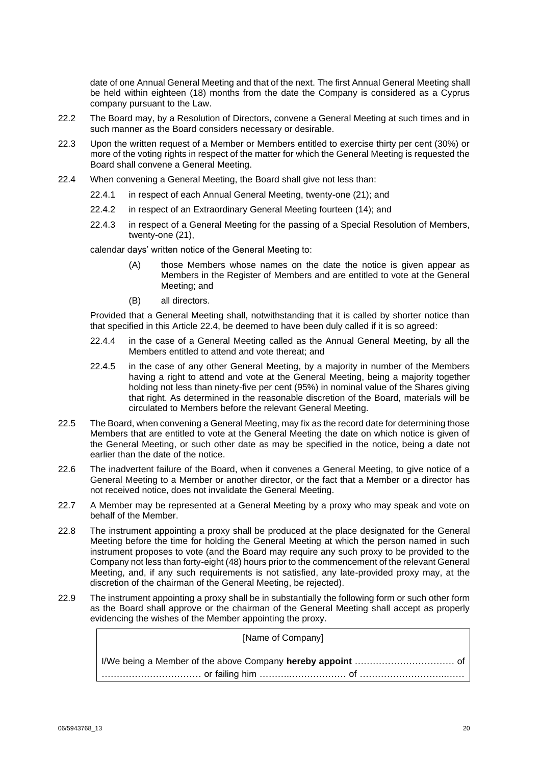date of one Annual General Meeting and that of the next. The first Annual General Meeting shall be held within eighteen (18) months from the date the Company is considered as a Cyprus company pursuant to the Law.

- 22.2 The Board may, by a Resolution of Directors, convene a General Meeting at such times and in such manner as the Board considers necessary or desirable.
- 22.3 Upon the written request of a Member or Members entitled to exercise thirty per cent (30%) or more of the voting rights in respect of the matter for which the General Meeting is requested the Board shall convene a General Meeting.
- <span id="page-19-0"></span>22.4 When convening a General Meeting, the Board shall give not less than:
	- 22.4.1 in respect of each Annual General Meeting, twenty-one (21); and
	- 22.4.2 in respect of an Extraordinary General Meeting fourteen (14); and
	- 22.4.3 in respect of a General Meeting for the passing of a Special Resolution of Members, twenty-one (21),

calendar days' written notice of the General Meeting to:

- (A) those Members whose names on the date the notice is given appear as Members in the Register of Members and are entitled to vote at the General Meeting; and
- (B) all directors.

Provided that a General Meeting shall, notwithstanding that it is called by shorter notice than that specified in this Article [22.4,](#page-19-0) be deemed to have been duly called if it is so agreed:

- 22.4.4 in the case of a General Meeting called as the Annual General Meeting, by all the Members entitled to attend and vote thereat; and
- 22.4.5 in the case of any other General Meeting, by a majority in number of the Members having a right to attend and vote at the General Meeting, being a majority together holding not less than ninety-five per cent (95%) in nominal value of the Shares giving that right. As determined in the reasonable discretion of the Board, materials will be circulated to Members before the relevant General Meeting.
- 22.5 The Board, when convening a General Meeting, may fix as the record date for determining those Members that are entitled to vote at the General Meeting the date on which notice is given of the General Meeting, or such other date as may be specified in the notice, being a date not earlier than the date of the notice.
- 22.6 The inadvertent failure of the Board, when it convenes a General Meeting, to give notice of a General Meeting to a Member or another director, or the fact that a Member or a director has not received notice, does not invalidate the General Meeting.
- 22.7 A Member may be represented at a General Meeting by a proxy who may speak and vote on behalf of the Member.
- 22.8 The instrument appointing a proxy shall be produced at the place designated for the General Meeting before the time for holding the General Meeting at which the person named in such instrument proposes to vote (and the Board may require any such proxy to be provided to the Company not less than forty-eight (48) hours prior to the commencement of the relevant General Meeting, and, if any such requirements is not satisfied, any late-provided proxy may, at the discretion of the chairman of the General Meeting, be rejected).
- 22.9 The instrument appointing a proxy shall be in substantially the following form or such other form as the Board shall approve or the chairman of the General Meeting shall accept as properly evidencing the wishes of the Member appointing the proxy.

| [Name of Company]                                       |
|---------------------------------------------------------|
|                                                         |
| ……………………………… or failing him …………………………… of ……………………………… |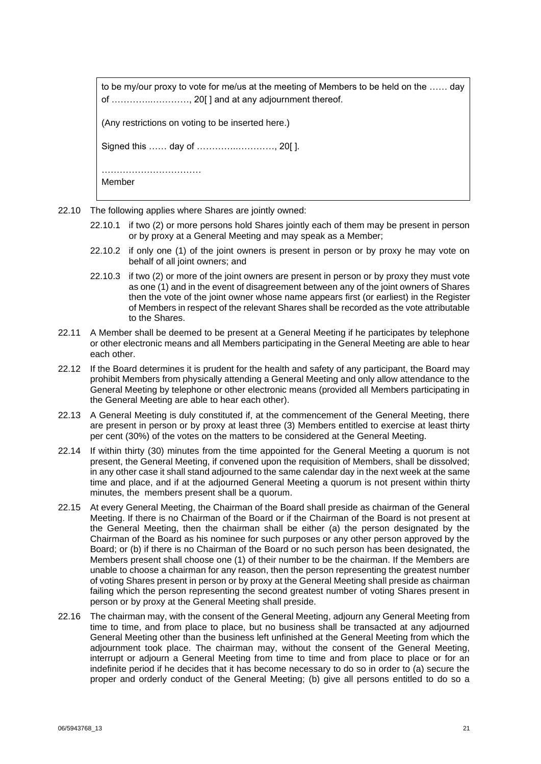| to be my/our proxy to vote for me/us at the meeting of Members to be held on the  day<br>of , 20[] and at any adjournment thereof. |
|------------------------------------------------------------------------------------------------------------------------------------|
| (Any restrictions on voting to be inserted here.)                                                                                  |
|                                                                                                                                    |
| Member                                                                                                                             |

- 22.10 The following applies where Shares are jointly owned:
	- 22.10.1 if two (2) or more persons hold Shares jointly each of them may be present in person or by proxy at a General Meeting and may speak as a Member;
	- 22.10.2 if only one (1) of the joint owners is present in person or by proxy he may vote on behalf of all joint owners; and
	- 22.10.3 if two (2) or more of the joint owners are present in person or by proxy they must vote as one (1) and in the event of disagreement between any of the joint owners of Shares then the vote of the joint owner whose name appears first (or earliest) in the Register of Members in respect of the relevant Shares shall be recorded as the vote attributable to the Shares.
- 22.11 A Member shall be deemed to be present at a General Meeting if he participates by telephone or other electronic means and all Members participating in the General Meeting are able to hear each other.
- 22.12 If the Board determines it is prudent for the health and safety of any participant, the Board may prohibit Members from physically attending a General Meeting and only allow attendance to the General Meeting by telephone or other electronic means (provided all Members participating in the General Meeting are able to hear each other).
- 22.13 A General Meeting is duly constituted if, at the commencement of the General Meeting, there are present in person or by proxy at least three (3) Members entitled to exercise at least thirty per cent (30%) of the votes on the matters to be considered at the General Meeting.
- 22.14 If within thirty (30) minutes from the time appointed for the General Meeting a quorum is not present, the General Meeting, if convened upon the requisition of Members, shall be dissolved; in any other case it shall stand adjourned to the same calendar day in the next week at the same time and place, and if at the adjourned General Meeting a quorum is not present within thirty minutes, the members present shall be a quorum.
- 22.15 At every General Meeting, the Chairman of the Board shall preside as chairman of the General Meeting. If there is no Chairman of the Board or if the Chairman of the Board is not present at the General Meeting, then the chairman shall be either (a) the person designated by the Chairman of the Board as his nominee for such purposes or any other person approved by the Board; or (b) if there is no Chairman of the Board or no such person has been designated, the Members present shall choose one (1) of their number to be the chairman. If the Members are unable to choose a chairman for any reason, then the person representing the greatest number of voting Shares present in person or by proxy at the General Meeting shall preside as chairman failing which the person representing the second greatest number of voting Shares present in person or by proxy at the General Meeting shall preside.
- 22.16 The chairman may, with the consent of the General Meeting, adjourn any General Meeting from time to time, and from place to place, but no business shall be transacted at any adjourned General Meeting other than the business left unfinished at the General Meeting from which the adjournment took place. The chairman may, without the consent of the General Meeting, interrupt or adjourn a General Meeting from time to time and from place to place or for an indefinite period if he decides that it has become necessary to do so in order to (a) secure the proper and orderly conduct of the General Meeting; (b) give all persons entitled to do so a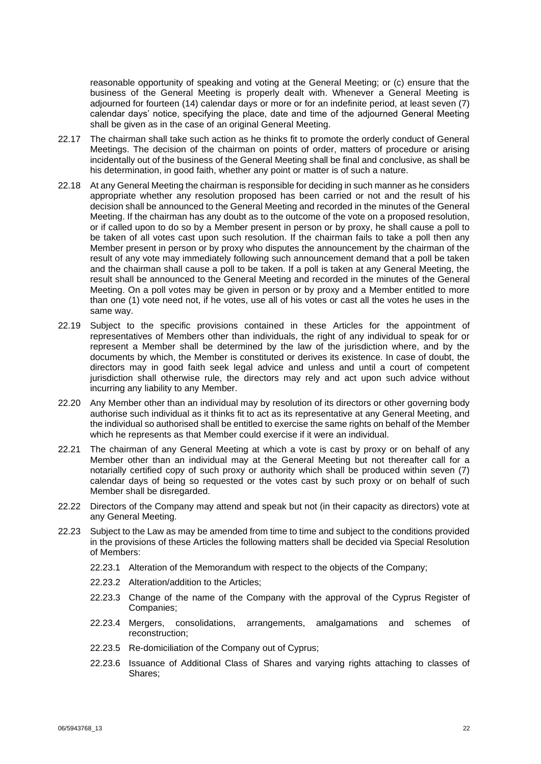reasonable opportunity of speaking and voting at the General Meeting; or (c) ensure that the business of the General Meeting is properly dealt with. Whenever a General Meeting is adjourned for fourteen (14) calendar days or more or for an indefinite period, at least seven (7) calendar days' notice, specifying the place, date and time of the adjourned General Meeting shall be given as in the case of an original General Meeting.

- 22.17 The chairman shall take such action as he thinks fit to promote the orderly conduct of General Meetings. The decision of the chairman on points of order, matters of procedure or arising incidentally out of the business of the General Meeting shall be final and conclusive, as shall be his determination, in good faith, whether any point or matter is of such a nature.
- 22.18 At any General Meeting the chairman is responsible for deciding in such manner as he considers appropriate whether any resolution proposed has been carried or not and the result of his decision shall be announced to the General Meeting and recorded in the minutes of the General Meeting. If the chairman has any doubt as to the outcome of the vote on a proposed resolution, or if called upon to do so by a Member present in person or by proxy, he shall cause a poll to be taken of all votes cast upon such resolution. If the chairman fails to take a poll then any Member present in person or by proxy who disputes the announcement by the chairman of the result of any vote may immediately following such announcement demand that a poll be taken and the chairman shall cause a poll to be taken. If a poll is taken at any General Meeting, the result shall be announced to the General Meeting and recorded in the minutes of the General Meeting. On a poll votes may be given in person or by proxy and a Member entitled to more than one (1) vote need not, if he votes, use all of his votes or cast all the votes he uses in the same way.
- 22.19 Subject to the specific provisions contained in these Articles for the appointment of representatives of Members other than individuals, the right of any individual to speak for or represent a Member shall be determined by the law of the jurisdiction where, and by the documents by which, the Member is constituted or derives its existence. In case of doubt, the directors may in good faith seek legal advice and unless and until a court of competent jurisdiction shall otherwise rule, the directors may rely and act upon such advice without incurring any liability to any Member.
- 22.20 Any Member other than an individual may by resolution of its directors or other governing body authorise such individual as it thinks fit to act as its representative at any General Meeting, and the individual so authorised shall be entitled to exercise the same rights on behalf of the Member which he represents as that Member could exercise if it were an individual.
- 22.21 The chairman of any General Meeting at which a vote is cast by proxy or on behalf of any Member other than an individual may at the General Meeting but not thereafter call for a notarially certified copy of such proxy or authority which shall be produced within seven (7) calendar days of being so requested or the votes cast by such proxy or on behalf of such Member shall be disregarded.
- 22.22 Directors of the Company may attend and speak but not (in their capacity as directors) vote at any General Meeting.
- 22.23 Subject to the Law as may be amended from time to time and subject to the conditions provided in the provisions of these Articles the following matters shall be decided via Special Resolution of Members:
	- 22.23.1 Alteration of the Memorandum with respect to the objects of the Company;
	- 22.23.2 Alteration/addition to the Articles;
	- 22.23.3 Change of the name of the Company with the approval of the Cyprus Register of Companies;
	- 22.23.4 Mergers, consolidations, arrangements, amalgamations and schemes of reconstruction;
	- 22.23.5 Re-domiciliation of the Company out of Cyprus;
	- 22.23.6 Issuance of Additional Class of Shares and varying rights attaching to classes of Shares;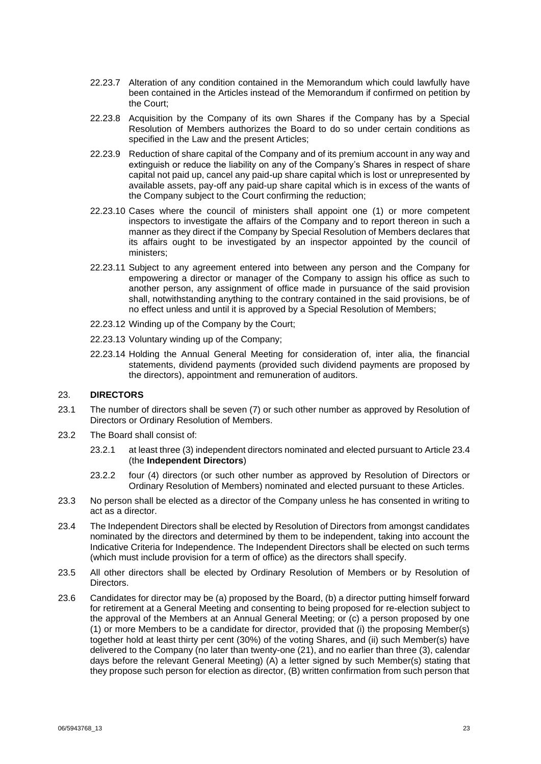- 22.23.7 Alteration of any condition contained in the Memorandum which could lawfully have been contained in the Articles instead of the Memorandum if confirmed on petition by the Court;
- 22.23.8 Acquisition by the Company of its own Shares if the Company has by a Special Resolution of Members authorizes the Board to do so under certain conditions as specified in the Law and the present Articles;
- 22.23.9 Reduction of share capital of the Company and of its premium account in any way and extinguish or reduce the liability on any of the Company's Shares in respect of share capital not paid up, cancel any paid-up share capital which is lost or unrepresented by available assets, pay-off any paid-up share capital which is in excess of the wants of the Company subject to the Court confirming the reduction;
- 22.23.10 Cases where the council of ministers shall appoint one (1) or more competent inspectors to investigate the affairs of the Company and to report thereon in such a manner as they direct if the Company by Special Resolution of Members declares that its affairs ought to be investigated by an inspector appointed by the council of ministers;
- 22.23.11 Subject to any agreement entered into between any person and the Company for empowering a director or manager of the Company to assign his office as such to another person, any assignment of office made in pursuance of the said provision shall, notwithstanding anything to the contrary contained in the said provisions, be of no effect unless and until it is approved by a Special Resolution of Members;
- 22.23.12 Winding up of the Company by the Court;
- 22.23.13 Voluntary winding up of the Company;
- 22.23.14 Holding the Annual General Meeting for consideration of, inter alia, the financial statements, dividend payments (provided such dividend payments are proposed by the directors), appointment and remuneration of auditors.

## 23. **DIRECTORS**

- 23.1 The number of directors shall be seven (7) or such other number as approved by Resolution of Directors or Ordinary Resolution of Members.
- <span id="page-22-0"></span>23.2 The Board shall consist of:
	- 23.2.1 at least three (3) independent directors nominated and elected pursuant to Article [23.4](#page-22-1) (the **Independent Directors**)
	- 23.2.2 four (4) directors (or such other number as approved by Resolution of Directors or Ordinary Resolution of Members) nominated and elected pursuant to these Articles.
- 23.3 No person shall be elected as a director of the Company unless he has consented in writing to act as a director.
- <span id="page-22-1"></span>23.4 The Independent Directors shall be elected by Resolution of Directors from amongst candidates nominated by the directors and determined by them to be independent, taking into account the Indicative Criteria for Independence. The Independent Directors shall be elected on such terms (which must include provision for a term of office) as the directors shall specify.
- 23.5 All other directors shall be elected by Ordinary Resolution of Members or by Resolution of Directors.
- 23.6 Candidates for director may be (a) proposed by the Board, (b) a director putting himself forward for retirement at a General Meeting and consenting to being proposed for re-election subject to the approval of the Members at an Annual General Meeting; or (c) a person proposed by one (1) or more Members to be a candidate for director, provided that (i) the proposing Member(s) together hold at least thirty per cent (30%) of the voting Shares, and (ii) such Member(s) have delivered to the Company (no later than twenty-one (21), and no earlier than three (3), calendar days before the relevant General Meeting) (A) a letter signed by such Member(s) stating that they propose such person for election as director, (B) written confirmation from such person that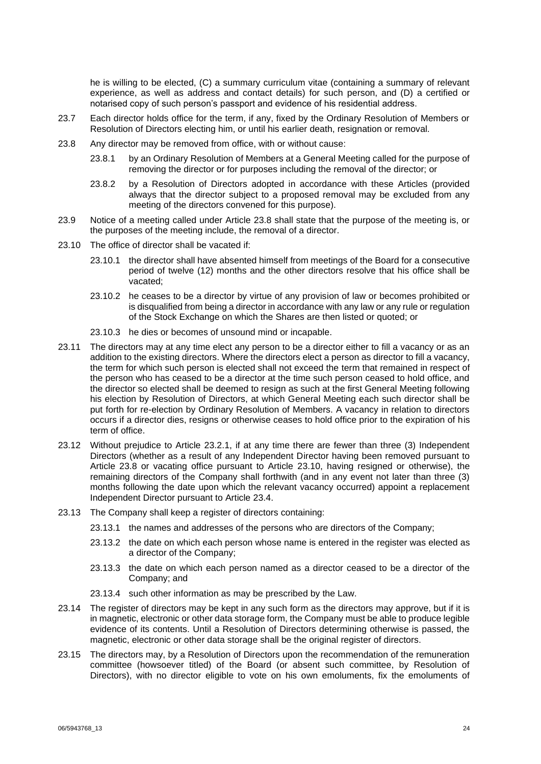he is willing to be elected, (C) a summary curriculum vitae (containing a summary of relevant experience, as well as address and contact details) for such person, and (D) a certified or notarised copy of such person's passport and evidence of his residential address.

- 23.7 Each director holds office for the term, if any, fixed by the Ordinary Resolution of Members or Resolution of Directors electing him, or until his earlier death, resignation or removal.
- <span id="page-23-0"></span>23.8 Any director may be removed from office, with or without cause:
	- 23.8.1 by an Ordinary Resolution of Members at a General Meeting called for the purpose of removing the director or for purposes including the removal of the director; or
	- 23.8.2 by a Resolution of Directors adopted in accordance with these Articles (provided always that the director subject to a proposed removal may be excluded from any meeting of the directors convened for this purpose).
- 23.9 Notice of a meeting called under Article [23.8](#page-23-0) shall state that the purpose of the meeting is, or the purposes of the meeting include, the removal of a director.
- <span id="page-23-1"></span>23.10 The office of director shall be vacated if:
	- 23.10.1 the director shall have absented himself from meetings of the Board for a consecutive period of twelve (12) months and the other directors resolve that his office shall be vacated;
	- 23.10.2 he ceases to be a director by virtue of any provision of law or becomes prohibited or is disqualified from being a director in accordance with any law or any rule or regulation of the Stock Exchange on which the Shares are then listed or quoted; or
	- 23.10.3 he dies or becomes of unsound mind or incapable.
- 23.11 The directors may at any time elect any person to be a director either to fill a vacancy or as an addition to the existing directors. Where the directors elect a person as director to fill a vacancy, the term for which such person is elected shall not exceed the term that remained in respect of the person who has ceased to be a director at the time such person ceased to hold office, and the director so elected shall be deemed to resign as such at the first General Meeting following his election by Resolution of Directors, at which General Meeting each such director shall be put forth for re-election by Ordinary Resolution of Members. A vacancy in relation to directors occurs if a director dies, resigns or otherwise ceases to hold office prior to the expiration of his term of office.
- 23.12 Without prejudice to Article [23.2.1,](#page-22-0) if at any time there are fewer than three (3) Independent Directors (whether as a result of any Independent Director having been removed pursuant to Article [23.8](#page-23-0) or vacating office pursuant to Article [23.10,](#page-23-1) having resigned or otherwise), the remaining directors of the Company shall forthwith (and in any event not later than three (3) months following the date upon which the relevant vacancy occurred) appoint a replacement Independent Director pursuant to Article [23.4.](#page-22-1)
- 23.13 The Company shall keep a register of directors containing:
	- 23.13.1 the names and addresses of the persons who are directors of the Company;
	- 23.13.2 the date on which each person whose name is entered in the register was elected as a director of the Company;
	- 23.13.3 the date on which each person named as a director ceased to be a director of the Company; and
	- 23.13.4 such other information as may be prescribed by the Law.
- 23.14 The register of directors may be kept in any such form as the directors may approve, but if it is in magnetic, electronic or other data storage form, the Company must be able to produce legible evidence of its contents. Until a Resolution of Directors determining otherwise is passed, the magnetic, electronic or other data storage shall be the original register of directors.
- 23.15 The directors may, by a Resolution of Directors upon the recommendation of the remuneration committee (howsoever titled) of the Board (or absent such committee, by Resolution of Directors), with no director eligible to vote on his own emoluments, fix the emoluments of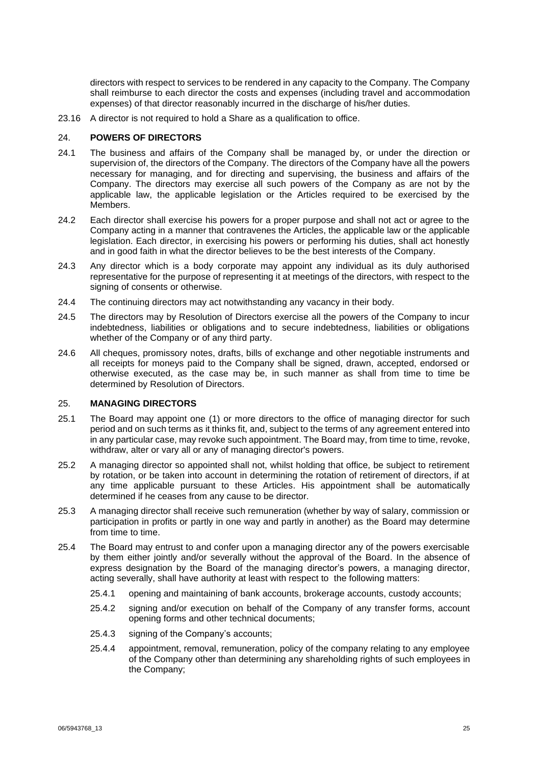directors with respect to services to be rendered in any capacity to the Company. The Company shall reimburse to each director the costs and expenses (including travel and accommodation expenses) of that director reasonably incurred in the discharge of his/her duties.

23.16 A director is not required to hold a Share as a qualification to office.

#### 24. **POWERS OF DIRECTORS**

- 24.1 The business and affairs of the Company shall be managed by, or under the direction or supervision of, the directors of the Company. The directors of the Company have all the powers necessary for managing, and for directing and supervising, the business and affairs of the Company. The directors may exercise all such powers of the Company as are not by the applicable law, the applicable legislation or the Articles required to be exercised by the Members.
- 24.2 Each director shall exercise his powers for a proper purpose and shall not act or agree to the Company acting in a manner that contravenes the Articles, the applicable law or the applicable legislation. Each director, in exercising his powers or performing his duties, shall act honestly and in good faith in what the director believes to be the best interests of the Company.
- 24.3 Any director which is a body corporate may appoint any individual as its duly authorised representative for the purpose of representing it at meetings of the directors, with respect to the signing of consents or otherwise.
- 24.4 The continuing directors may act notwithstanding any vacancy in their body.
- 24.5 The directors may by Resolution of Directors exercise all the powers of the Company to incur indebtedness, liabilities or obligations and to secure indebtedness, liabilities or obligations whether of the Company or of any third party.
- 24.6 All cheques, promissory notes, drafts, bills of exchange and other negotiable instruments and all receipts for moneys paid to the Company shall be signed, drawn, accepted, endorsed or otherwise executed, as the case may be, in such manner as shall from time to time be determined by Resolution of Directors.

### 25. **MANAGING DIRECTORS**

- 25.1 The Board may appoint one (1) or more directors to the office of managing director for such period and on such terms as it thinks fit, and, subject to the terms of any agreement entered into in any particular case, may revoke such appointment. The Board may, from time to time, revoke, withdraw, alter or vary all or any of managing director's powers.
- 25.2 A managing director so appointed shall not, whilst holding that office, be subject to retirement by rotation, or be taken into account in determining the rotation of retirement of directors, if at any time applicable pursuant to these Articles. His appointment shall be automatically determined if he ceases from any cause to be director.
- 25.3 A managing director shall receive such remuneration (whether by way of salary, commission or participation in profits or partly in one way and partly in another) as the Board may determine from time to time.
- 25.4 The Board may entrust to and confer upon a managing director any of the powers exercisable by them either jointly and/or severally without the approval of the Board. In the absence of express designation by the Board of the managing director's powers, a managing director, acting severally, shall have authority at least with respect to the following matters:
	- 25.4.1 opening and maintaining of bank accounts, brokerage accounts, custody accounts;
	- 25.4.2 signing and/or execution on behalf of the Company of any transfer forms, account opening forms and other technical documents;
	- 25.4.3 signing of the Company's accounts;
	- 25.4.4 appointment, removal, remuneration, policy of the company relating to any employee of the Company other than determining any shareholding rights of such employees in the Company;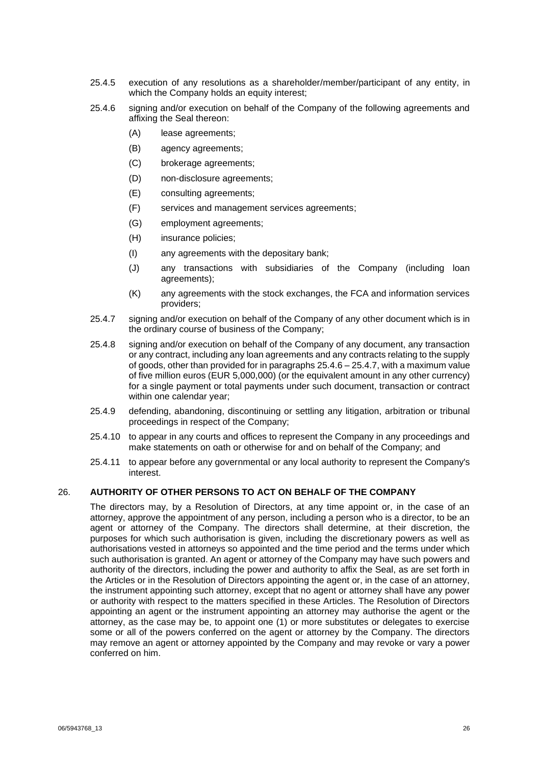- 25.4.5 execution of any resolutions as a shareholder/member/participant of any entity, in which the Company holds an equity interest;
- <span id="page-25-0"></span>25.4.6 signing and/or execution on behalf of the Company of the following agreements and affixing the Seal thereon:
	- (A) lease agreements;
	- (B) agency agreements;
	- (C) brokerage agreements;
	- (D) non-disclosure agreements;
	- (E) consulting agreements;
	- (F) services and management services agreements;
	- (G) employment agreements;
	- (H) insurance policies;
	- (I) any agreements with the depositary bank;
	- (J) any transactions with subsidiaries of the Company (including loan agreements);
	- (K) any agreements with the stock exchanges, the FCA and information services providers;
- <span id="page-25-1"></span>25.4.7 signing and/or execution on behalf of the Company of any other document which is in the ordinary course of business of the Company;
- 25.4.8 signing and/or execution on behalf of the Company of any document, any transaction or any contract, including any loan agreements and any contracts relating to the supply of goods, other than provided for in paragraphs [25.4.6](#page-25-0) – [25.4.7,](#page-25-1) with a maximum value of five million euros (EUR 5,000,000) (or the equivalent amount in any other currency) for a single payment or total payments under such document, transaction or contract within one calendar year;
- 25.4.9 defending, abandoning, discontinuing or settling any litigation, arbitration or tribunal proceedings in respect of the Company;
- 25.4.10 to appear in any courts and offices to represent the Company in any proceedings and make statements on oath or otherwise for and on behalf of the Company; and
- 25.4.11 to appear before any governmental or any local authority to represent the Company's interest.

## 26. **AUTHORITY OF OTHER PERSONS TO ACT ON BEHALF OF THE COMPANY**

The directors may, by a Resolution of Directors, at any time appoint or, in the case of an attorney, approve the appointment of any person, including a person who is a director, to be an agent or attorney of the Company. The directors shall determine, at their discretion, the purposes for which such authorisation is given, including the discretionary powers as well as authorisations vested in attorneys so appointed and the time period and the terms under which such authorisation is granted. An agent or attorney of the Company may have such powers and authority of the directors, including the power and authority to affix the Seal, as are set forth in the Articles or in the Resolution of Directors appointing the agent or, in the case of an attorney, the instrument appointing such attorney, except that no agent or attorney shall have any power or authority with respect to the matters specified in these Articles. The Resolution of Directors appointing an agent or the instrument appointing an attorney may authorise the agent or the attorney, as the case may be, to appoint one (1) or more substitutes or delegates to exercise some or all of the powers conferred on the agent or attorney by the Company. The directors may remove an agent or attorney appointed by the Company and may revoke or vary a power conferred on him.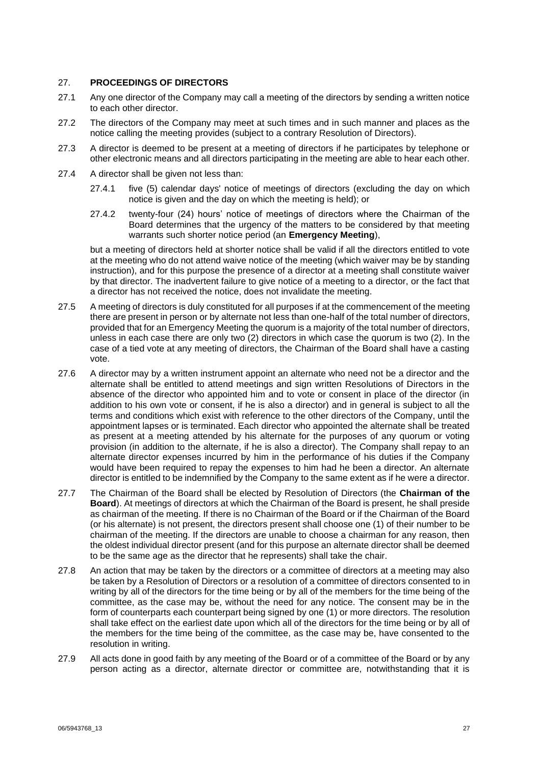#### 27. **PROCEEDINGS OF DIRECTORS**

- 27.1 Any one director of the Company may call a meeting of the directors by sending a written notice to each other director.
- 27.2 The directors of the Company may meet at such times and in such manner and places as the notice calling the meeting provides (subject to a contrary Resolution of Directors).
- 27.3 A director is deemed to be present at a meeting of directors if he participates by telephone or other electronic means and all directors participating in the meeting are able to hear each other.
- <span id="page-26-1"></span>27.4 A director shall be given not less than:
	- 27.4.1 five (5) calendar days' notice of meetings of directors (excluding the day on which notice is given and the day on which the meeting is held); or
	- 27.4.2 twenty-four (24) hours' notice of meetings of directors where the Chairman of the Board determines that the urgency of the matters to be considered by that meeting warrants such shorter notice period (an **Emergency Meeting**),

but a meeting of directors held at shorter notice shall be valid if all the directors entitled to vote at the meeting who do not attend waive notice of the meeting (which waiver may be by standing instruction), and for this purpose the presence of a director at a meeting shall constitute waiver by that director. The inadvertent failure to give notice of a meeting to a director, or the fact that a director has not received the notice, does not invalidate the meeting.

- 27.5 A meeting of directors is duly constituted for all purposes if at the commencement of the meeting there are present in person or by alternate not less than one-half of the total number of directors, provided that for an Emergency Meeting the quorum is a majority of the total number of directors, unless in each case there are only two (2) directors in which case the quorum is two (2). In the case of a tied vote at any meeting of directors, the Chairman of the Board shall have a casting vote.
- 27.6 A director may by a written instrument appoint an alternate who need not be a director and the alternate shall be entitled to attend meetings and sign written Resolutions of Directors in the absence of the director who appointed him and to vote or consent in place of the director (in addition to his own vote or consent, if he is also a director) and in general is subject to all the terms and conditions which exist with reference to the other directors of the Company, until the appointment lapses or is terminated. Each director who appointed the alternate shall be treated as present at a meeting attended by his alternate for the purposes of any quorum or voting provision (in addition to the alternate, if he is also a director). The Company shall repay to an alternate director expenses incurred by him in the performance of his duties if the Company would have been required to repay the expenses to him had he been a director. An alternate director is entitled to be indemnified by the Company to the same extent as if he were a director.
- <span id="page-26-0"></span>27.7 The Chairman of the Board shall be elected by Resolution of Directors (the **Chairman of the Board**). At meetings of directors at which the Chairman of the Board is present, he shall preside as chairman of the meeting. If there is no Chairman of the Board or if the Chairman of the Board (or his alternate) is not present, the directors present shall choose one (1) of their number to be chairman of the meeting. If the directors are unable to choose a chairman for any reason, then the oldest individual director present (and for this purpose an alternate director shall be deemed to be the same age as the director that he represents) shall take the chair.
- 27.8 An action that may be taken by the directors or a committee of directors at a meeting may also be taken by a Resolution of Directors or a resolution of a committee of directors consented to in writing by all of the directors for the time being or by all of the members for the time being of the committee, as the case may be, without the need for any notice. The consent may be in the form of counterparts each counterpart being signed by one (1) or more directors. The resolution shall take effect on the earliest date upon which all of the directors for the time being or by all of the members for the time being of the committee, as the case may be, have consented to the resolution in writing.
- 27.9 All acts done in good faith by any meeting of the Board or of a committee of the Board or by any person acting as a director, alternate director or committee are, notwithstanding that it is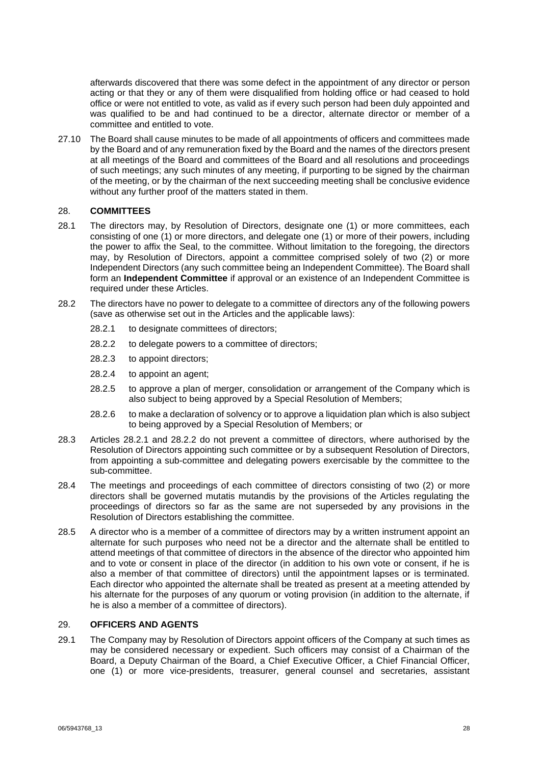afterwards discovered that there was some defect in the appointment of any director or person acting or that they or any of them were disqualified from holding office or had ceased to hold office or were not entitled to vote, as valid as if every such person had been duly appointed and was qualified to be and had continued to be a director, alternate director or member of a committee and entitled to vote.

27.10 The Board shall cause minutes to be made of all appointments of officers and committees made by the Board and of any remuneration fixed by the Board and the names of the directors present at all meetings of the Board and committees of the Board and all resolutions and proceedings of such meetings; any such minutes of any meeting, if purporting to be signed by the chairman of the meeting, or by the chairman of the next succeeding meeting shall be conclusive evidence without any further proof of the matters stated in them.

#### 28. **COMMITTEES**

- <span id="page-27-0"></span>28.1 The directors may, by Resolution of Directors, designate one (1) or more committees, each consisting of one (1) or more directors, and delegate one (1) or more of their powers, including the power to affix the Seal, to the committee. Without limitation to the foregoing, the directors may, by Resolution of Directors, appoint a committee comprised solely of two (2) or more Independent Directors (any such committee being an Independent Committee). The Board shall form an **Independent Committee** if approval or an existence of an Independent Committee is required under these Articles.
- <span id="page-27-2"></span><span id="page-27-1"></span>28.2 The directors have no power to delegate to a committee of directors any of the following powers (save as otherwise set out in the Articles and the applicable laws):
	- 28.2.1 to designate committees of directors;
	- 28.2.2 to delegate powers to a committee of directors;
	- 28.2.3 to appoint directors;
	- 28.2.4 to appoint an agent;
	- 28.2.5 to approve a plan of merger, consolidation or arrangement of the Company which is also subject to being approved by a Special Resolution of Members;
	- 28.2.6 to make a declaration of solvency or to approve a liquidation plan which is also subject to being approved by a Special Resolution of Members; or
- 28.3 Articles [28.2.1](#page-27-1) and [28.2.2](#page-27-2) do not prevent a committee of directors, where authorised by the Resolution of Directors appointing such committee or by a subsequent Resolution of Directors, from appointing a sub-committee and delegating powers exercisable by the committee to the sub-committee.
- 28.4 The meetings and proceedings of each committee of directors consisting of two (2) or more directors shall be governed mutatis mutandis by the provisions of the Articles regulating the proceedings of directors so far as the same are not superseded by any provisions in the Resolution of Directors establishing the committee.
- 28.5 A director who is a member of a committee of directors may by a written instrument appoint an alternate for such purposes who need not be a director and the alternate shall be entitled to attend meetings of that committee of directors in the absence of the director who appointed him and to vote or consent in place of the director (in addition to his own vote or consent, if he is also a member of that committee of directors) until the appointment lapses or is terminated. Each director who appointed the alternate shall be treated as present at a meeting attended by his alternate for the purposes of any quorum or voting provision (in addition to the alternate, if he is also a member of a committee of directors).

## 29. **OFFICERS AND AGENTS**

29.1 The Company may by Resolution of Directors appoint officers of the Company at such times as may be considered necessary or expedient. Such officers may consist of a Chairman of the Board, a Deputy Chairman of the Board, a Chief Executive Officer, a Chief Financial Officer, one (1) or more vice-presidents, treasurer, general counsel and secretaries, assistant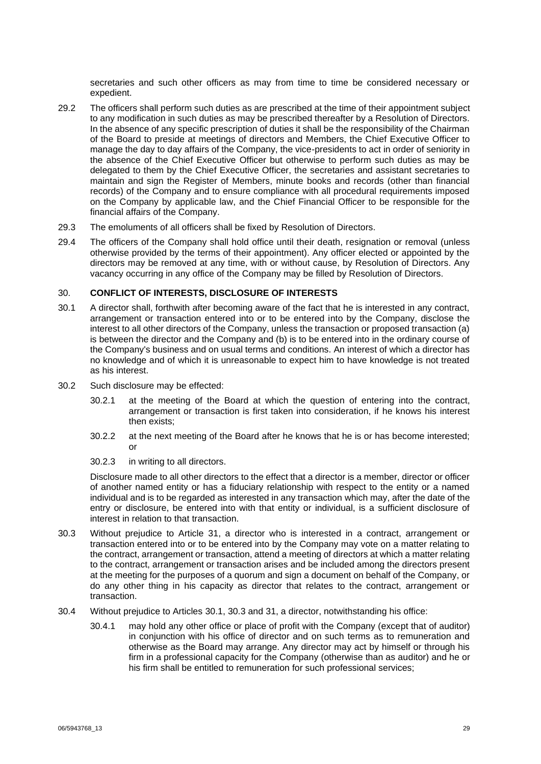secretaries and such other officers as may from time to time be considered necessary or expedient.

- 29.2 The officers shall perform such duties as are prescribed at the time of their appointment subject to any modification in such duties as may be prescribed thereafter by a Resolution of Directors. In the absence of any specific prescription of duties it shall be the responsibility of the Chairman of the Board to preside at meetings of directors and Members, the Chief Executive Officer to manage the day to day affairs of the Company, the vice-presidents to act in order of seniority in the absence of the Chief Executive Officer but otherwise to perform such duties as may be delegated to them by the Chief Executive Officer, the secretaries and assistant secretaries to maintain and sign the Register of Members, minute books and records (other than financial records) of the Company and to ensure compliance with all procedural requirements imposed on the Company by applicable law, and the Chief Financial Officer to be responsible for the financial affairs of the Company.
- 29.3 The emoluments of all officers shall be fixed by Resolution of Directors.
- 29.4 The officers of the Company shall hold office until their death, resignation or removal (unless otherwise provided by the terms of their appointment). Any officer elected or appointed by the directors may be removed at any time, with or without cause, by Resolution of Directors. Any vacancy occurring in any office of the Company may be filled by Resolution of Directors.

## 30. **CONFLICT OF INTERESTS, DISCLOSURE OF INTERESTS**

- <span id="page-28-0"></span>30.1 A director shall, forthwith after becoming aware of the fact that he is interested in any contract, arrangement or transaction entered into or to be entered into by the Company, disclose the interest to all other directors of the Company, unless the transaction or proposed transaction (a) is between the director and the Company and (b) is to be entered into in the ordinary course of the Company's business and on usual terms and conditions. An interest of which a director has no knowledge and of which it is unreasonable to expect him to have knowledge is not treated as his interest.
- 30.2 Such disclosure may be effected:
	- 30.2.1 at the meeting of the Board at which the question of entering into the contract, arrangement or transaction is first taken into consideration, if he knows his interest then exists;
	- 30.2.2 at the next meeting of the Board after he knows that he is or has become interested; or
	- 30.2.3 in writing to all directors.

Disclosure made to all other directors to the effect that a director is a member, director or officer of another named entity or has a fiduciary relationship with respect to the entity or a named individual and is to be regarded as interested in any transaction which may, after the date of the entry or disclosure, be entered into with that entity or individual, is a sufficient disclosure of interest in relation to that transaction.

- <span id="page-28-1"></span>30.3 Without prejudice to Article [31,](#page-29-0) a director who is interested in a contract, arrangement or transaction entered into or to be entered into by the Company may vote on a matter relating to the contract, arrangement or transaction, attend a meeting of directors at which a matter relating to the contract, arrangement or transaction arises and be included among the directors present at the meeting for the purposes of a quorum and sign a document on behalf of the Company, or do any other thing in his capacity as director that relates to the contract, arrangement or transaction.
- 30.4 Without prejudice to Articles [30.1,](#page-28-0) [30.3](#page-28-1) and [31,](#page-29-0) a director, notwithstanding his office:
	- 30.4.1 may hold any other office or place of profit with the Company (except that of auditor) in conjunction with his office of director and on such terms as to remuneration and otherwise as the Board may arrange. Any director may act by himself or through his firm in a professional capacity for the Company (otherwise than as auditor) and he or his firm shall be entitled to remuneration for such professional services;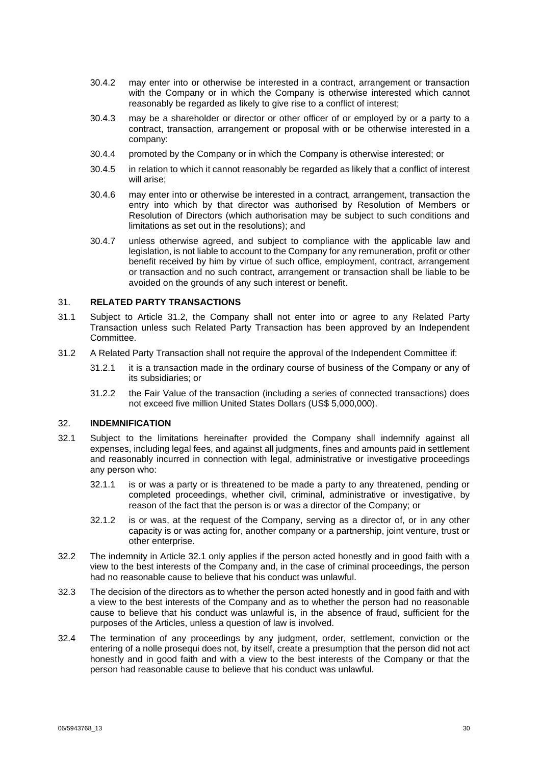- 30.4.2 may enter into or otherwise be interested in a contract, arrangement or transaction with the Company or in which the Company is otherwise interested which cannot reasonably be regarded as likely to give rise to a conflict of interest;
- 30.4.3 may be a shareholder or director or other officer of or employed by or a party to a contract, transaction, arrangement or proposal with or be otherwise interested in a company:
- 30.4.4 promoted by the Company or in which the Company is otherwise interested; or
- 30.4.5 in relation to which it cannot reasonably be regarded as likely that a conflict of interest will arise;
- 30.4.6 may enter into or otherwise be interested in a contract, arrangement, transaction the entry into which by that director was authorised by Resolution of Members or Resolution of Directors (which authorisation may be subject to such conditions and limitations as set out in the resolutions); and
- 30.4.7 unless otherwise agreed, and subject to compliance with the applicable law and legislation, is not liable to account to the Company for any remuneration, profit or other benefit received by him by virtue of such office, employment, contract, arrangement or transaction and no such contract, arrangement or transaction shall be liable to be avoided on the grounds of any such interest or benefit.

## <span id="page-29-0"></span>31. **RELATED PARTY TRANSACTIONS**

- 31.1 Subject to Article [31.2,](#page-29-1) the Company shall not enter into or agree to any Related Party Transaction unless such Related Party Transaction has been approved by an Independent Committee.
- <span id="page-29-1"></span>31.2 A Related Party Transaction shall not require the approval of the Independent Committee if:
	- 31.2.1 it is a transaction made in the ordinary course of business of the Company or any of its subsidiaries; or
	- 31.2.2 the Fair Value of the transaction (including a series of connected transactions) does not exceed five million United States Dollars (US\$ 5,000,000).

## <span id="page-29-3"></span>32. **INDEMNIFICATION**

- <span id="page-29-2"></span>32.1 Subject to the limitations hereinafter provided the Company shall indemnify against all expenses, including legal fees, and against all judgments, fines and amounts paid in settlement and reasonably incurred in connection with legal, administrative or investigative proceedings any person who:
	- 32.1.1 is or was a party or is threatened to be made a party to any threatened, pending or completed proceedings, whether civil, criminal, administrative or investigative, by reason of the fact that the person is or was a director of the Company; or
	- 32.1.2 is or was, at the request of the Company, serving as a director of, or in any other capacity is or was acting for, another company or a partnership, joint venture, trust or other enterprise.
- 32.2 The indemnity in Article [32.1](#page-29-2) only applies if the person acted honestly and in good faith with a view to the best interests of the Company and, in the case of criminal proceedings, the person had no reasonable cause to believe that his conduct was unlawful.
- 32.3 The decision of the directors as to whether the person acted honestly and in good faith and with a view to the best interests of the Company and as to whether the person had no reasonable cause to believe that his conduct was unlawful is, in the absence of fraud, sufficient for the purposes of the Articles, unless a question of law is involved.
- 32.4 The termination of any proceedings by any judgment, order, settlement, conviction or the entering of a nolle prosequi does not, by itself, create a presumption that the person did not act honestly and in good faith and with a view to the best interests of the Company or that the person had reasonable cause to believe that his conduct was unlawful.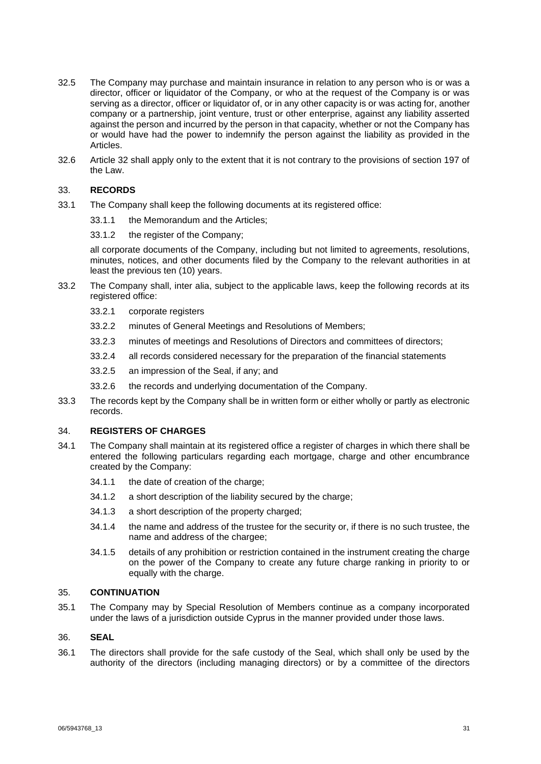- 32.5 The Company may purchase and maintain insurance in relation to any person who is or was a director, officer or liquidator of the Company, or who at the request of the Company is or was serving as a director, officer or liquidator of, or in any other capacity is or was acting for, another company or a partnership, joint venture, trust or other enterprise, against any liability asserted against the person and incurred by the person in that capacity, whether or not the Company has or would have had the power to indemnify the person against the liability as provided in the Articles.
- 32.6 Article [32](#page-29-3) shall apply only to the extent that it is not contrary to the provisions of section 197 of the Law.

## 33. **RECORDS**

- 33.1 The Company shall keep the following documents at its registered office:
	- 33.1.1 the Memorandum and the Articles;
		- 33.1.2 the register of the Company;

all corporate documents of the Company, including but not limited to agreements, resolutions, minutes, notices, and other documents filed by the Company to the relevant authorities in at least the previous ten (10) years.

- 33.2 The Company shall, inter alia, subject to the applicable laws, keep the following records at its registered office:
	- 33.2.1 corporate registers
	- 33.2.2 minutes of General Meetings and Resolutions of Members;
	- 33.2.3 minutes of meetings and Resolutions of Directors and committees of directors;
	- 33.2.4 all records considered necessary for the preparation of the financial statements
	- 33.2.5 an impression of the Seal, if any; and
	- 33.2.6 the records and underlying documentation of the Company.
- 33.3 The records kept by the Company shall be in written form or either wholly or partly as electronic records.

#### 34. **REGISTERS OF CHARGES**

- 34.1 The Company shall maintain at its registered office a register of charges in which there shall be entered the following particulars regarding each mortgage, charge and other encumbrance created by the Company:
	- 34.1.1 the date of creation of the charge;
	- 34.1.2 a short description of the liability secured by the charge;
	- 34.1.3 a short description of the property charged;
	- 34.1.4 the name and address of the trustee for the security or, if there is no such trustee, the name and address of the chargee;
	- 34.1.5 details of any prohibition or restriction contained in the instrument creating the charge on the power of the Company to create any future charge ranking in priority to or equally with the charge.

## 35. **CONTINUATION**

35.1 The Company may by Special Resolution of Members continue as a company incorporated under the laws of a jurisdiction outside Cyprus in the manner provided under those laws.

#### 36. **SEAL**

36.1 The directors shall provide for the safe custody of the Seal, which shall only be used by the authority of the directors (including managing directors) or by a committee of the directors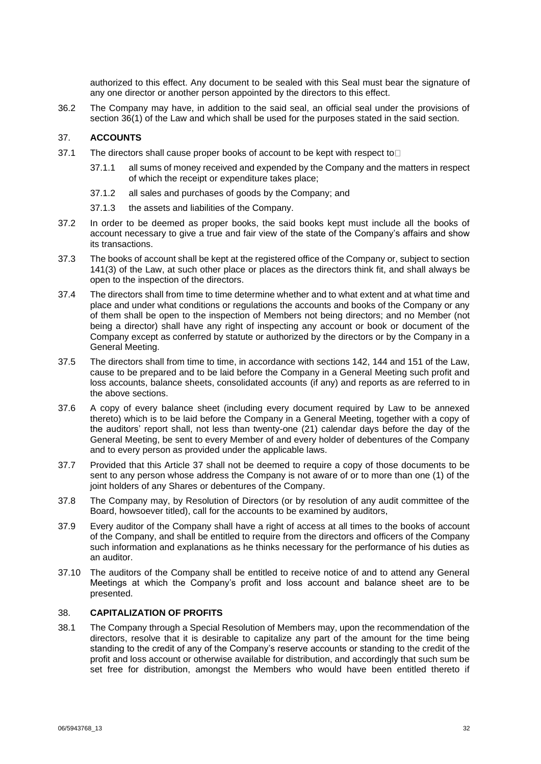authorized to this effect. Any document to be sealed with this Seal must bear the signature of any one director or another person appointed by the directors to this effect.

36.2 The Company may have, in addition to the said seal, an official seal under the provisions of section 36(1) of the Law and which shall be used for the purposes stated in the said section.

## 37. **ACCOUNTS**

- 37.1 The directors shall cause proper books of account to be kept with respect to  $\square$ 
	- 37.1.1 all sums of money received and expended by the Company and the matters in respect of which the receipt or expenditure takes place;
	- 37.1.2 all sales and purchases of goods by the Company; and
	- 37.1.3 the assets and liabilities of the Company.
- 37.2 In order to be deemed as proper books, the said books kept must include all the books of account necessary to give a true and fair view of the state of the Company's affairs and show its transactions.
- 37.3 The books of account shall be kept at the registered office of the Company or, subject to section 141(3) of the Law, at such other place or places as the directors think fit, and shall always be open to the inspection of the directors.
- 37.4 The directors shall from time to time determine whether and to what extent and at what time and place and under what conditions or regulations the accounts and books of the Company or any of them shall be open to the inspection of Members not being directors; and no Member (not being a director) shall have any right of inspecting any account or book or document of the Company except as conferred by statute or authorized by the directors or by the Company in a General Meeting.
- 37.5 The directors shall from time to time, in accordance with sections 142, 144 and 151 of the Law, cause to be prepared and to be laid before the Company in a General Meeting such profit and loss accounts, balance sheets, consolidated accounts (if any) and reports as are referred to in the above sections.
- 37.6 A copy of every balance sheet (including every document required by Law to be annexed thereto) which is to be laid before the Company in a General Meeting, together with a copy of the auditors' report shall, not less than twenty-one (21) calendar days before the day of the General Meeting, be sent to every Member of and every holder of debentures of the Company and to every person as provided under the applicable laws.
- 37.7 Provided that this Article 37 shall not be deemed to require a copy of those documents to be sent to any person whose address the Company is not aware of or to more than one (1) of the joint holders of any Shares or debentures of the Company.
- 37.8 The Company may, by Resolution of Directors (or by resolution of any audit committee of the Board, howsoever titled), call for the accounts to be examined by auditors,
- 37.9 Every auditor of the Company shall have a right of access at all times to the books of account of the Company, and shall be entitled to require from the directors and officers of the Company such information and explanations as he thinks necessary for the performance of his duties as an auditor.
- 37.10 The auditors of the Company shall be entitled to receive notice of and to attend any General Meetings at which the Company's profit and loss account and balance sheet are to be presented.

## 38. **CAPITALIZATION OF PROFITS**

38.1 The Company through a Special Resolution of Members may, upon the recommendation of the directors, resolve that it is desirable to capitalize any part of the amount for the time being standing to the credit of any of the Company's reserve accounts or standing to the credit of the profit and loss account or otherwise available for distribution, and accordingly that such sum be set free for distribution, amongst the Members who would have been entitled thereto if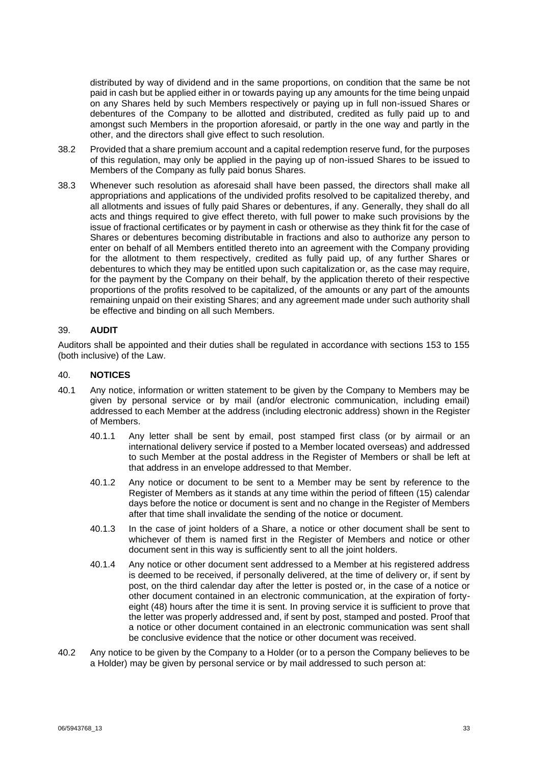distributed by way of dividend and in the same proportions, on condition that the same be not paid in cash but be applied either in or towards paying up any amounts for the time being unpaid on any Shares held by such Members respectively or paying up in full non-issued Shares or debentures of the Company to be allotted and distributed, credited as fully paid up to and amongst such Members in the proportion aforesaid, or partly in the one way and partly in the other, and the directors shall give effect to such resolution.

- 38.2 Provided that a share premium account and a capital redemption reserve fund, for the purposes of this regulation, may only be applied in the paying up of non-issued Shares to be issued to Members of the Company as fully paid bonus Shares.
- 38.3 Whenever such resolution as aforesaid shall have been passed, the directors shall make all appropriations and applications of the undivided profits resolved to be capitalized thereby, and all allotments and issues of fully paid Shares or debentures, if any. Generally, they shall do all acts and things required to give effect thereto, with full power to make such provisions by the issue of fractional certificates or by payment in cash or otherwise as they think fit for the case of Shares or debentures becoming distributable in fractions and also to authorize any person to enter on behalf of all Members entitled thereto into an agreement with the Company providing for the allotment to them respectively, credited as fully paid up, of any further Shares or debentures to which they may be entitled upon such capitalization or, as the case may require, for the payment by the Company on their behalf, by the application thereto of their respective proportions of the profits resolved to be capitalized, of the amounts or any part of the amounts remaining unpaid on their existing Shares; and any agreement made under such authority shall be effective and binding on all such Members.

#### 39. **AUDIT**

Auditors shall be appointed and their duties shall be regulated in accordance with sections 153 to 155 (both inclusive) of the Law.

#### 40. **NOTICES**

- 40.1 Any notice, information or written statement to be given by the Company to Members may be given by personal service or by mail (and/or electronic communication, including email) addressed to each Member at the address (including electronic address) shown in the Register of Members.
	- 40.1.1 Any letter shall be sent by email, post stamped first class (or by airmail or an international delivery service if posted to a Member located overseas) and addressed to such Member at the postal address in the Register of Members or shall be left at that address in an envelope addressed to that Member.
	- 40.1.2 Any notice or document to be sent to a Member may be sent by reference to the Register of Members as it stands at any time within the period of fifteen (15) calendar days before the notice or document is sent and no change in the Register of Members after that time shall invalidate the sending of the notice or document.
	- 40.1.3 In the case of joint holders of a Share, a notice or other document shall be sent to whichever of them is named first in the Register of Members and notice or other document sent in this way is sufficiently sent to all the joint holders.
	- 40.1.4 Any notice or other document sent addressed to a Member at his registered address is deemed to be received, if personally delivered, at the time of delivery or, if sent by post, on the third calendar day after the letter is posted or, in the case of a notice or other document contained in an electronic communication, at the expiration of fortyeight (48) hours after the time it is sent. In proving service it is sufficient to prove that the letter was properly addressed and, if sent by post, stamped and posted. Proof that a notice or other document contained in an electronic communication was sent shall be conclusive evidence that the notice or other document was received.
- 40.2 Any notice to be given by the Company to a Holder (or to a person the Company believes to be a Holder) may be given by personal service or by mail addressed to such person at: